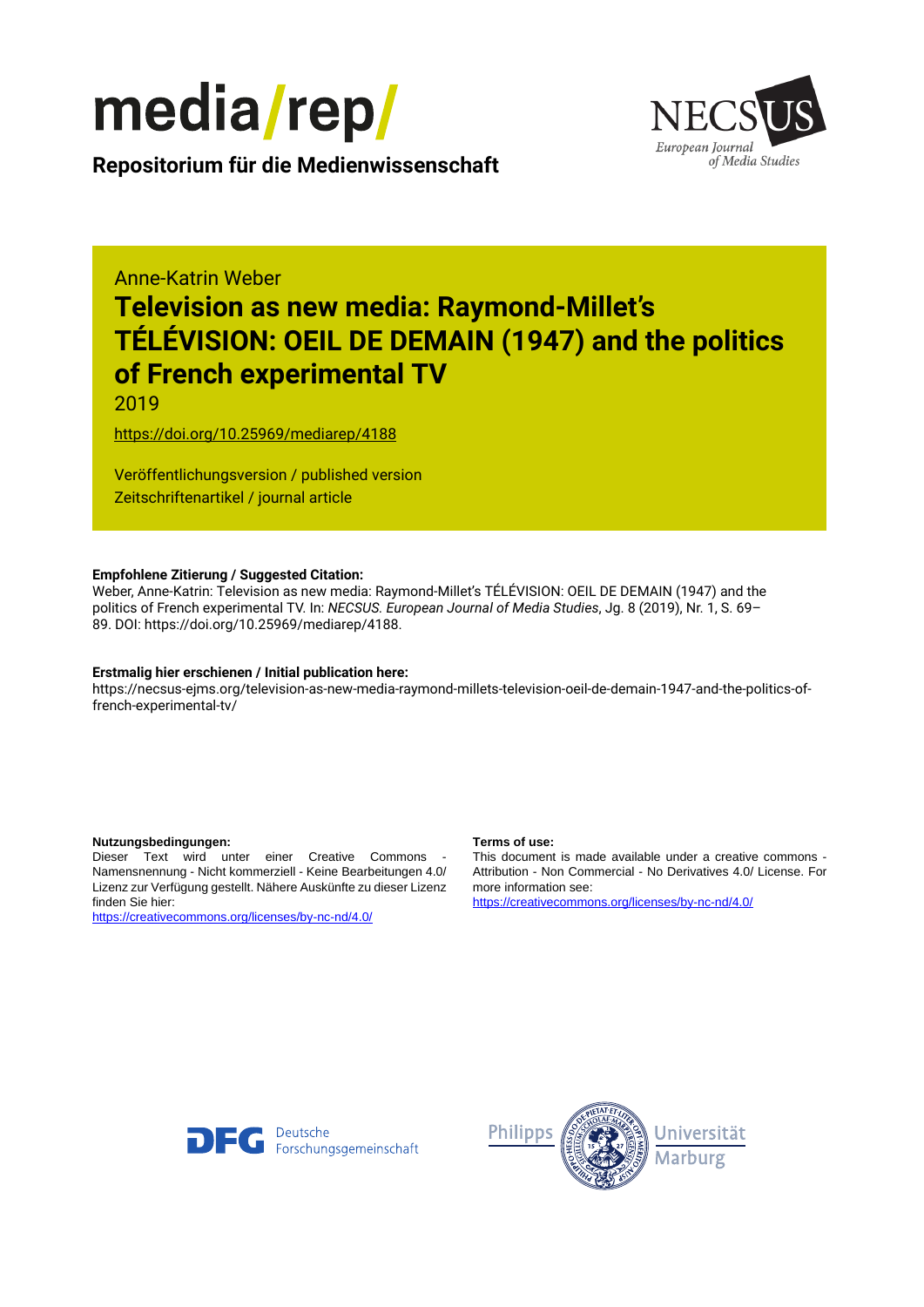

European Journal of Media Studies

**Repositorium für die [Medienwissenschaft](https://mediarep.org)**

# Anne-Katrin Weber **Television as new media: Raymond-Millet's TÉLÉVISION: OEIL DE DEMAIN (1947) and the politics of French experimental TV**

2019

<https://doi.org/10.25969/mediarep/4188>

Veröffentlichungsversion / published version Zeitschriftenartikel / journal article

### **Empfohlene Zitierung / Suggested Citation:**

Weber, Anne-Katrin: Television as new media: Raymond-Millet's TÉLÉVISION: OEIL DE DEMAIN (1947) and the politics of French experimental TV. In: *NECSUS. European Journal of Media Studies*, Jg. 8 (2019), Nr. 1, S. 69– 89. DOI: https://doi.org/10.25969/mediarep/4188.

### **Erstmalig hier erschienen / Initial publication here:**

https://necsus-ejms.org/television-as-new-media-raymond-millets-television-oeil-de-demain-1947-and-the-politics-offrench-experimental-tv/

#### **Nutzungsbedingungen: Terms of use:**

Dieser Text wird unter einer Creative Commons - Namensnennung - Nicht kommerziell - Keine Bearbeitungen 4.0/ Lizenz zur Verfügung gestellt. Nähere Auskünfte zu dieser Lizenz finden Sie hier:

<https://creativecommons.org/licenses/by-nc-nd/4.0/>

This document is made available under a creative commons - Attribution - Non Commercial - No Derivatives 4.0/ License. For more information see:

<https://creativecommons.org/licenses/by-nc-nd/4.0/>



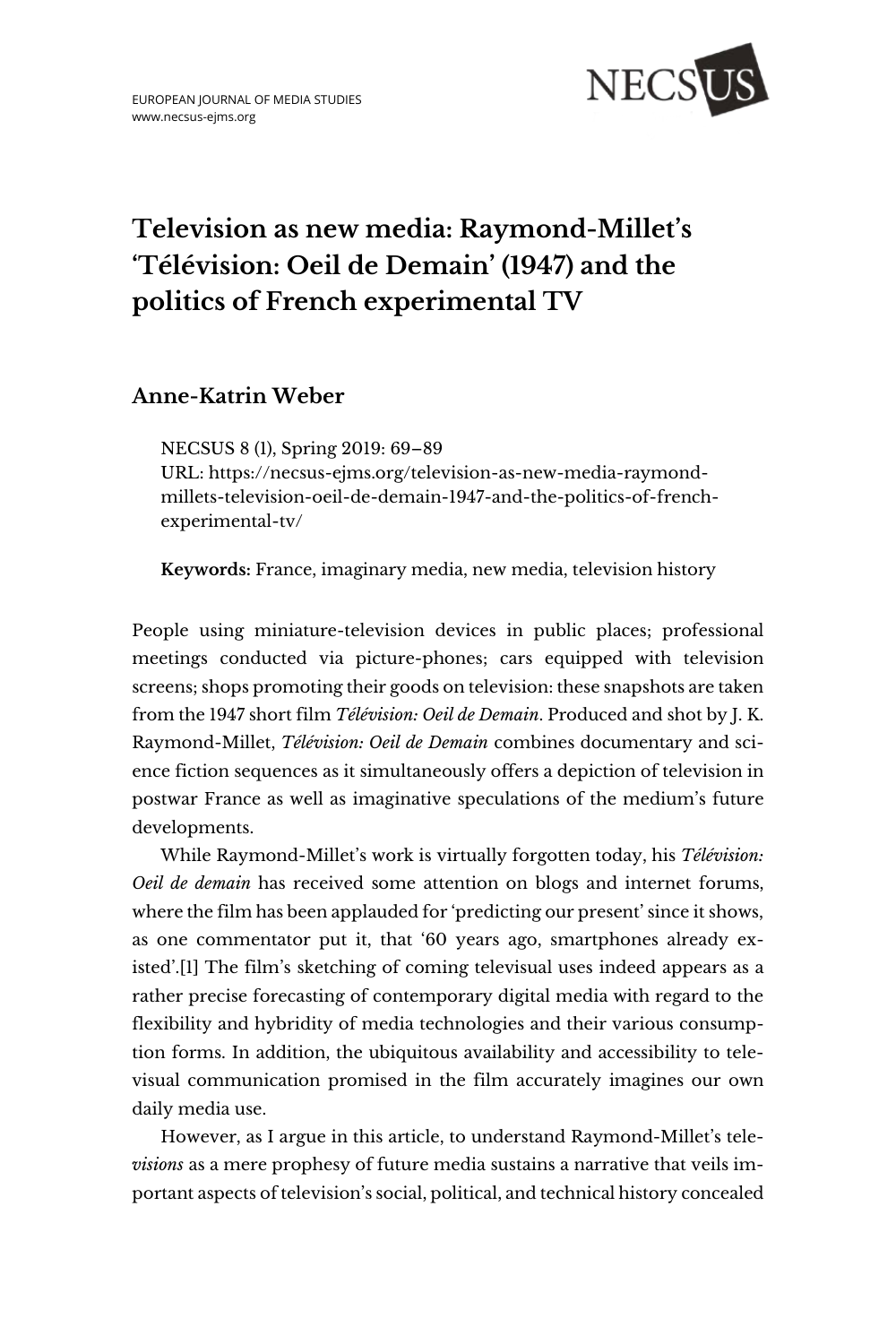

# **Television as new media: Raymond-Millet's 'Télévision: Oeil de Demain' (1947) and the politics of French experimental TV**

# **Anne-Katrin Weber**

NECSUS 8 (1), Spring 2019: 69–89 URL: [https://necsus-ejms.org/television-as-new-media-raymond](https://necsus-ejms.org/television-as-new-media-raymond-millets-television-oeil-de-demain-1947-and-the-politics-of-french-experimental-tv/)[millets-television-oeil-de-demain-1947-and-the-politics-of-french](https://necsus-ejms.org/television-as-new-media-raymond-millets-television-oeil-de-demain-1947-and-the-politics-of-french-experimental-tv/)[experimental-tv/](https://necsus-ejms.org/television-as-new-media-raymond-millets-television-oeil-de-demain-1947-and-the-politics-of-french-experimental-tv/)

**Keywords:** [France,](https://necsus-ejms.org/tag/france/) [imaginary media,](https://necsus-ejms.org/tag/imaginary-media/) [new media,](https://necsus-ejms.org/tag/new-media-2/) [television history](https://necsus-ejms.org/tag/television-history/)

People using miniature-television devices in public places; professional meetings conducted via picture-phones; cars equipped with television screens; shops promoting their goods on television: these snapshots are taken from the 1947 short film *Télévision: Oeil de Demain*. Produced and shot by J. K. Raymond-Millet, *Télévision: Oeil de Demain* combines documentary and science fiction sequences as it simultaneously offers a depiction of television in postwar France as well as imaginative speculations of the medium's future developments.

While Raymond-Millet's work is virtually forgotten today, his *Télévision: Oeil de demain* has received some attention on blogs and internet forums, where the film has been applauded for 'predicting our present' since it shows, as one commentator put it, that '60 years ago, smartphones already existed'.[1] The film's sketching of coming televisual uses indeed appears as a rather precise forecasting of contemporary digital media with regard to the flexibility and hybridity of media technologies and their various consumption forms. In addition, the ubiquitous availability and accessibility to televisual communication promised in the film accurately imagines our own daily media use.

However, as I argue in this article, to understand Raymond-Millet's tele*visions* as a mere prophesy of future media sustains a narrative that veils important aspects of television's social, political, and technical history concealed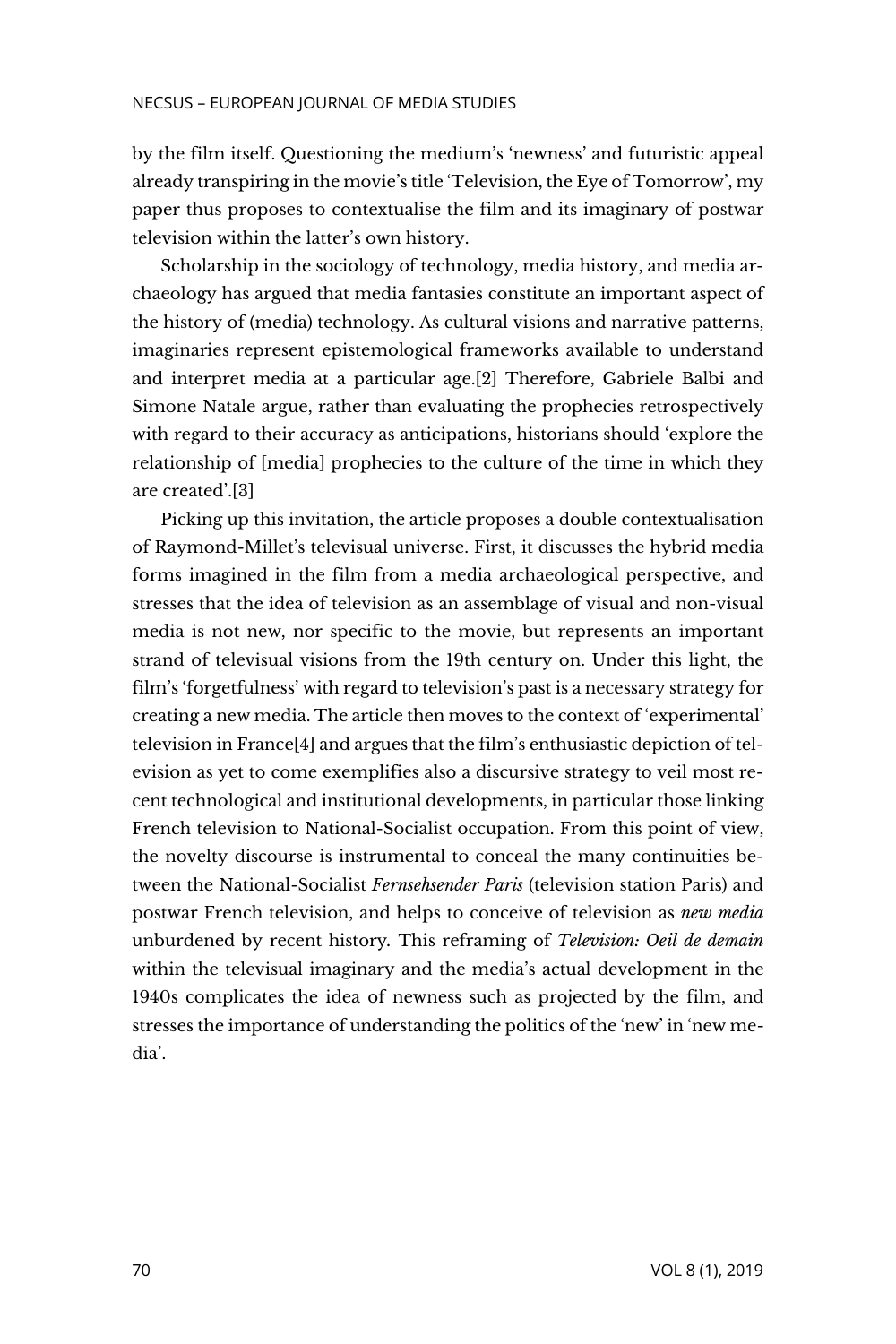by the film itself. Questioning the medium's 'newness' and futuristic appeal already transpiring in the movie's title 'Television, the Eye of Tomorrow', my paper thus proposes to contextualise the film and its imaginary of postwar television within the latter's own history.

Scholarship in the sociology of technology, media history, and media archaeology has argued that media fantasies constitute an important aspect of the history of (media) technology. As cultural visions and narrative patterns, imaginaries represent epistemological frameworks available to understand and interpret media at a particular age.[2] Therefore, Gabriele Balbi and Simone Natale argue, rather than evaluating the prophecies retrospectively with regard to their accuracy as anticipations, historians should 'explore the relationship of [media] prophecies to the culture of the time in which they are created'.[3]

Picking up this invitation, the article proposes a double contextualisation of Raymond-Millet's televisual universe. First, it discusses the hybrid media forms imagined in the film from a media archaeological perspective, and stresses that the idea of television as an assemblage of visual and non-visual media is not new, nor specific to the movie, but represents an important strand of televisual visions from the 19th century on. Under this light, the film's 'forgetfulness' with regard to television's past is a necessary strategy for creating a new media. The article then moves to the context of 'experimental' television in France[4] and argues that the film's enthusiastic depiction of television as yet to come exemplifies also a discursive strategy to veil most recent technological and institutional developments, in particular those linking French television to National-Socialist occupation. From this point of view, the novelty discourse is instrumental to conceal the many continuities between the National-Socialist *Fernsehsender Paris* (television station Paris) and postwar French television, and helps to conceive of television as *new media* unburdened by recent history*.* This reframing of *Television: Oeil de demain* within the televisual imaginary and the media's actual development in the 1940s complicates the idea of newness such as projected by the film, and stresses the importance of understanding the politics of the 'new' in 'new media'.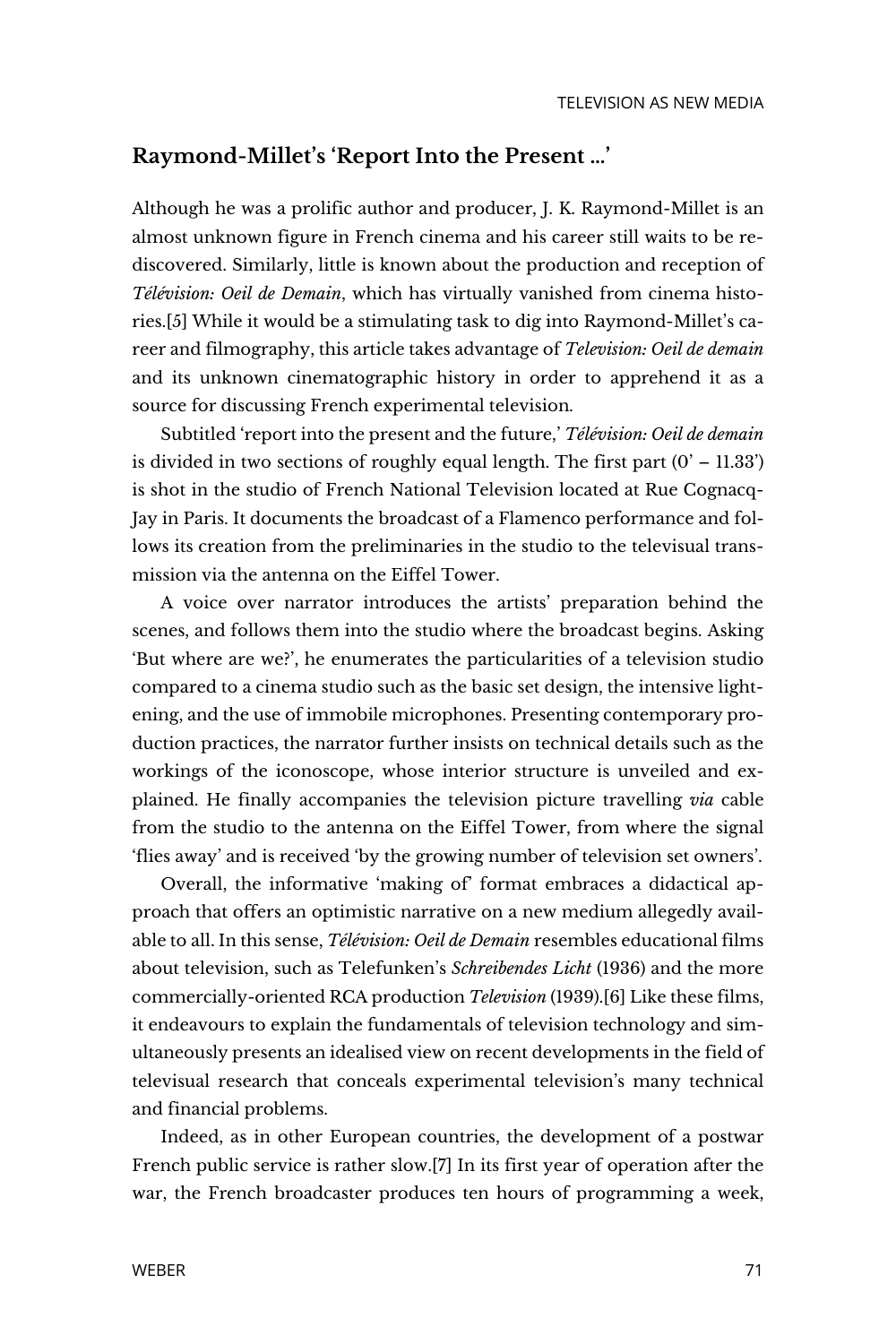## **Raymond-Millet's 'Report Into the Present …'**

Although he was a prolific author and producer, J. K. Raymond-Millet is an almost unknown figure in French cinema and his career still waits to be rediscovered. Similarly, little is known about the production and reception of *Télévision: Oeil de Demain*, which has virtually vanished from cinema histories.[5] While it would be a stimulating task to dig into Raymond-Millet's career and filmography, this article takes advantage of *Television: Oeil de demain* and its unknown cinematographic history in order to apprehend it as a source for discussing French experimental television.

Subtitled 'report into the present and the future,' *Télévision: Oeil de demain* is divided in two sections of roughly equal length. The first part  $(0' - 11.33')$ is shot in the studio of French National Television located at Rue Cognacq-Jay in Paris. It documents the broadcast of a Flamenco performance and follows its creation from the preliminaries in the studio to the televisual transmission via the antenna on the Eiffel Tower.

A voice over narrator introduces the artists' preparation behind the scenes, and follows them into the studio where the broadcast begins. Asking 'But where are we?', he enumerates the particularities of a television studio compared to a cinema studio such as the basic set design, the intensive lightening, and the use of immobile microphones. Presenting contemporary production practices, the narrator further insists on technical details such as the workings of the iconoscope, whose interior structure is unveiled and explained. He finally accompanies the television picture travelling *via* cable from the studio to the antenna on the Eiffel Tower, from where the signal 'flies away' and is received 'by the growing number of television set owners'.

Overall, the informative 'making of' format embraces a didactical approach that offers an optimistic narrative on a new medium allegedly available to all. In this sense, *Télévision: Oeil de Demain* resembles educational films about television, such as Telefunken's *Schreibendes Licht* (1936) and the more commercially-oriented RCA production *Television* (1939).[6] Like these films, it endeavours to explain the fundamentals of television technology and simultaneously presents an idealised view on recent developments in the field of televisual research that conceals experimental television's many technical and financial problems.

Indeed, as in other European countries, the development of a postwar French public service is rather slow.[7] In its first year of operation after the war, the French broadcaster produces ten hours of programming a week,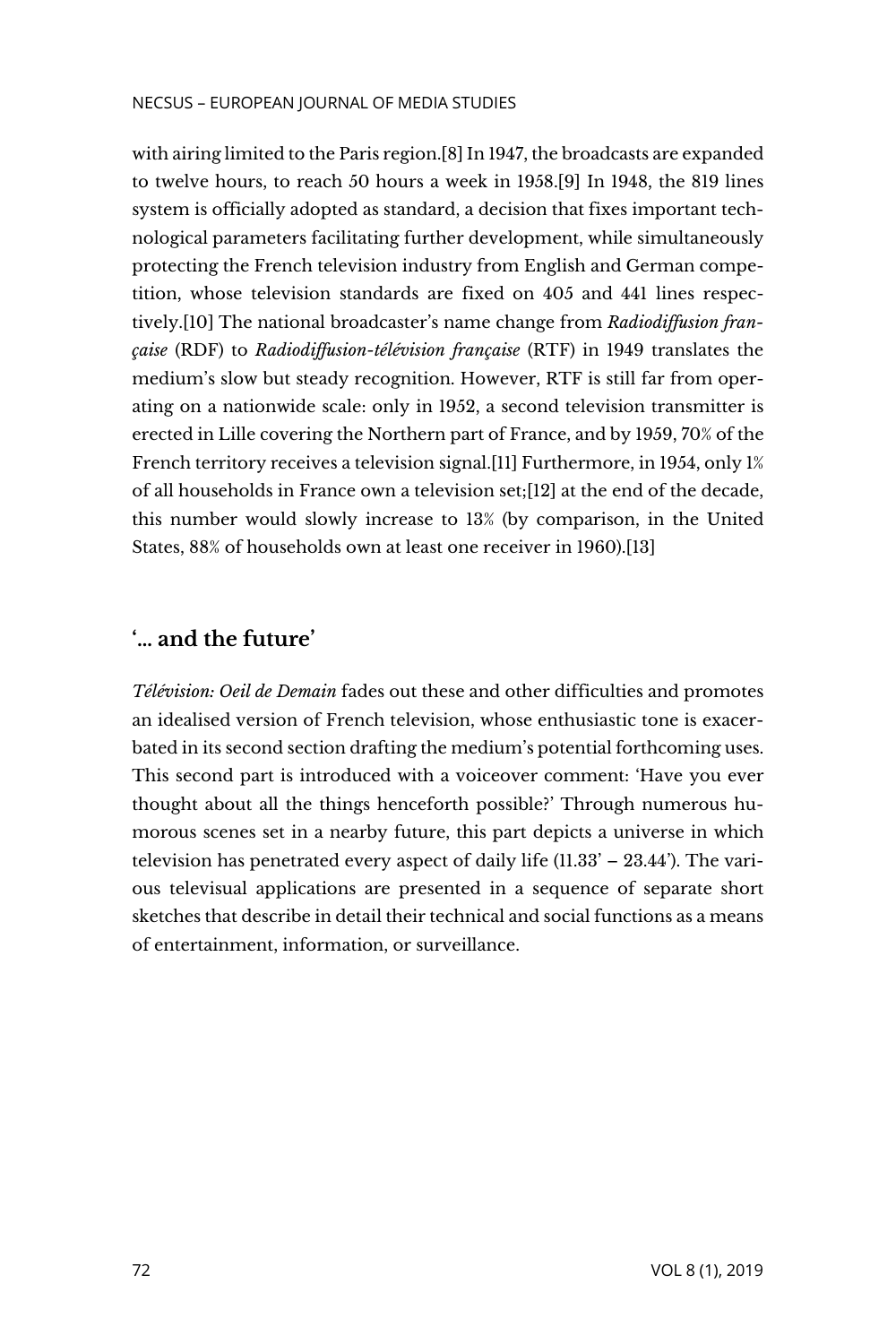with airing limited to the Paris region.[8] In 1947, the broadcasts are expanded to twelve hours, to reach 50 hours a week in 1958.[9] In 1948, the 819 lines system is officially adopted as standard, a decision that fixes important technological parameters facilitating further development, while simultaneously protecting the French television industry from English and German competition, whose television standards are fixed on 405 and 441 lines respectively.[10] The national broadcaster's name change from *Radiodiffusion française* (RDF) to *Radiodiffusion-télévision française* (RTF) in 1949 translates the medium's slow but steady recognition. However, RTF is still far from operating on a nationwide scale: only in 1952, a second television transmitter is erected in Lille covering the Northern part of France, and by 1959, 70% of the French territory receives a television signal.[11] Furthermore, in 1954, only 1% of all households in France own a television set;[12] at the end of the decade, this number would slowly increase to 13% (by comparison, in the United States, 88% of households own at least one receiver in 1960).[13]

# **'… and the future'**

*Télévision: Oeil de Demain* fades out these and other difficulties and promotes an idealised version of French television, whose enthusiastic tone is exacerbated in its second section drafting the medium's potential forthcoming uses. This second part is introduced with a voiceover comment: 'Have you ever thought about all the things henceforth possible?' Through numerous humorous scenes set in a nearby future, this part depicts a universe in which television has penetrated every aspect of daily life (11.33' – 23.44'). The various televisual applications are presented in a sequence of separate short sketches that describe in detail their technical and social functions as a means of entertainment, information, or surveillance.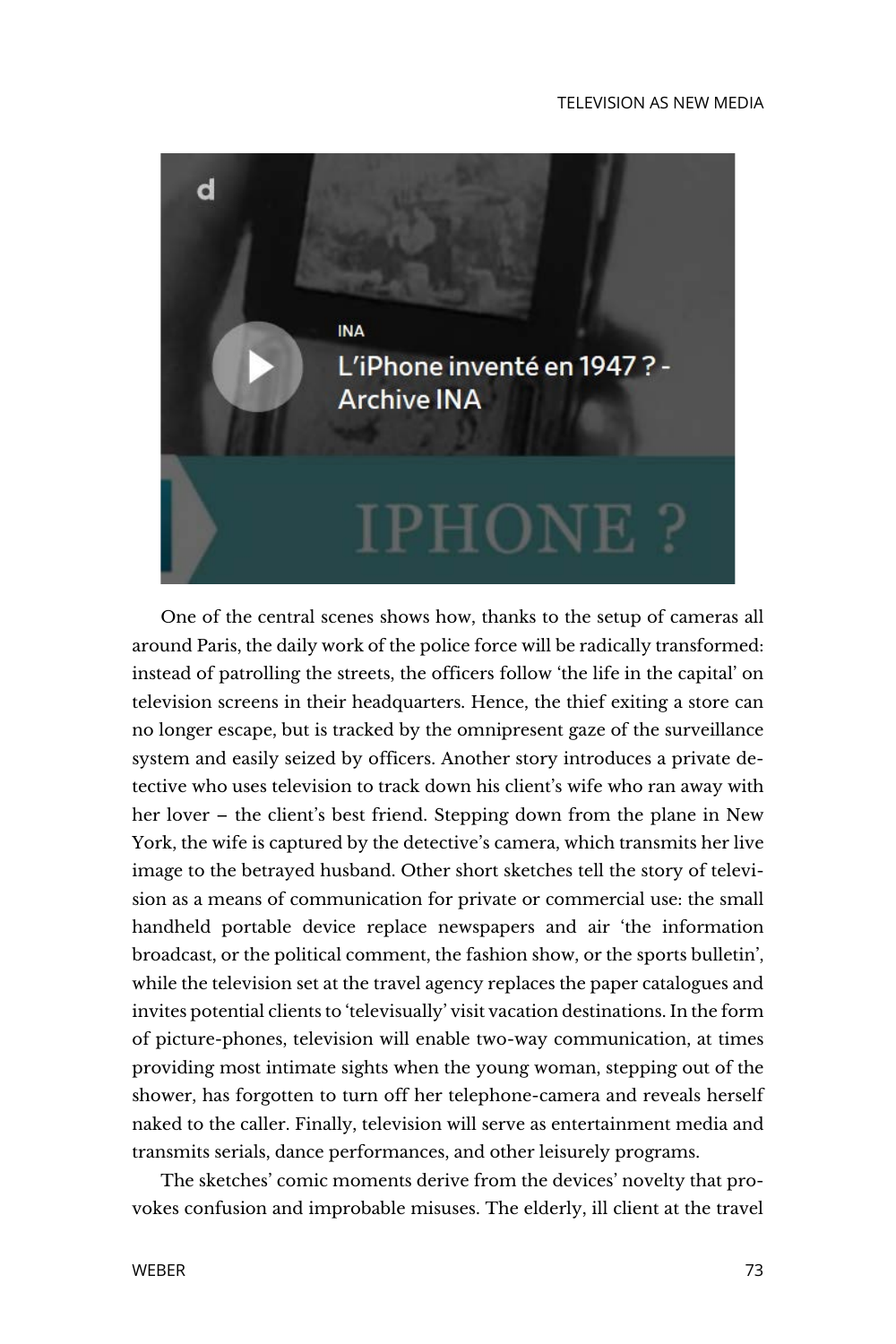

One of the central scenes shows how, thanks to the setup of cameras all around Paris, the daily work of the police force will be radically transformed: instead of patrolling the streets, the officers follow 'the life in the capital' on television screens in their headquarters. Hence, the thief exiting a store can no longer escape, but is tracked by the omnipresent gaze of the surveillance system and easily seized by officers. Another story introduces a private detective who uses television to track down his client's wife who ran away with her lover – the client's best friend. Stepping down from the plane in New York, the wife is captured by the detective's camera, which transmits her live image to the betrayed husband. Other short sketches tell the story of television as a means of communication for private or commercial use: the small handheld portable device replace newspapers and air 'the information broadcast, or the political comment, the fashion show, or the sports bulletin', while the television set at the travel agency replaces the paper catalogues and invites potential clients to 'televisually' visit vacation destinations. In the form of picture-phones, television will enable two-way communication, at times providing most intimate sights when the young woman, stepping out of the shower, has forgotten to turn off her telephone-camera and reveals herself naked to the caller. Finally, television will serve as entertainment media and transmits serials, dance performances, and other leisurely programs.

The sketches' comic moments derive from the devices' novelty that provokes confusion and improbable misuses. The elderly, ill client at the travel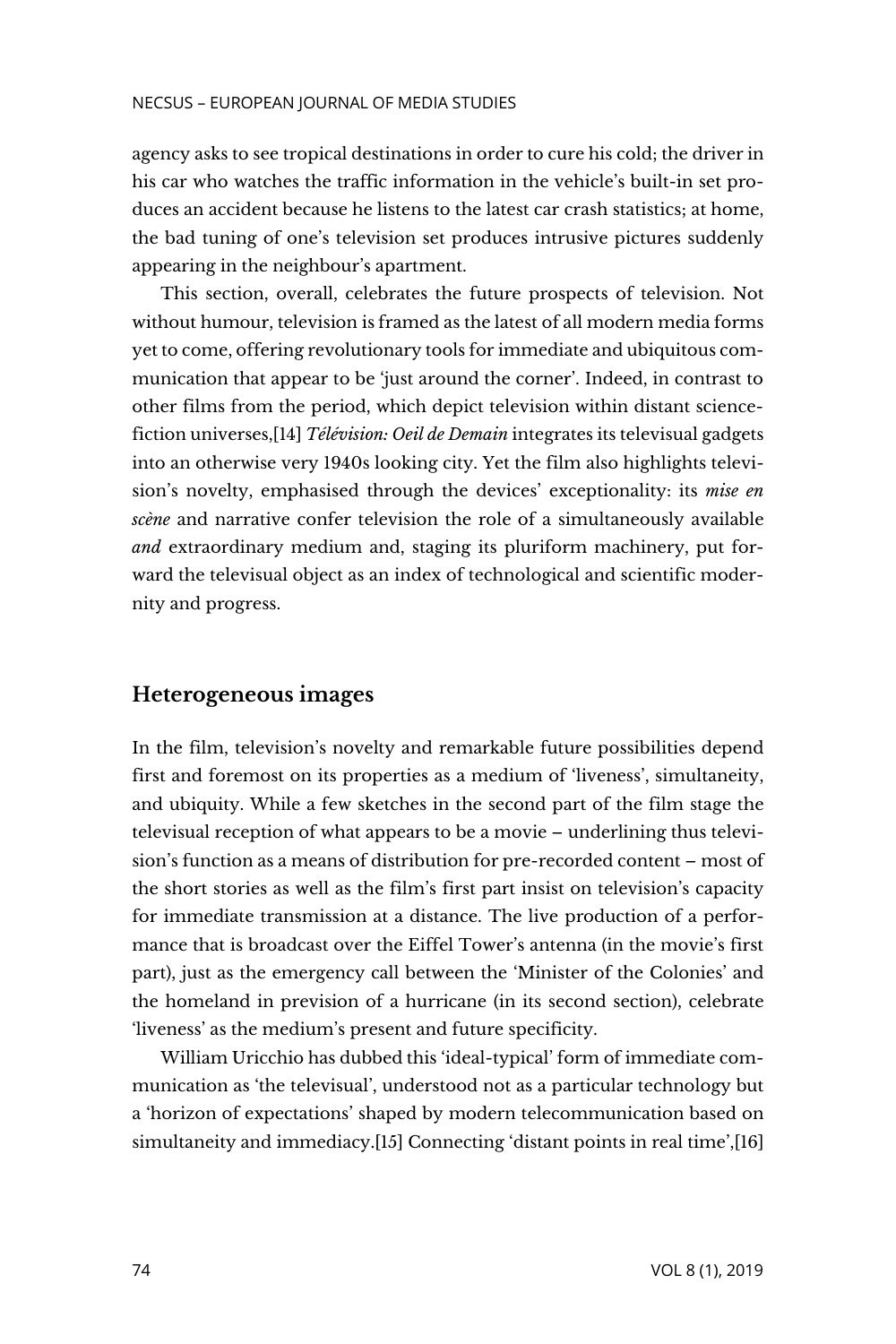agency asks to see tropical destinations in order to cure his cold; the driver in his car who watches the traffic information in the vehicle's built-in set produces an accident because he listens to the latest car crash statistics; at home, the bad tuning of one's television set produces intrusive pictures suddenly appearing in the neighbour's apartment.

This section, overall, celebrates the future prospects of television. Not without humour, television is framed as the latest of all modern media forms yet to come, offering revolutionary tools for immediate and ubiquitous communication that appear to be 'just around the corner'. Indeed, in contrast to other films from the period, which depict television within distant sciencefiction universes,[14] *Télévision: Oeil de Demain* integrates its televisual gadgets into an otherwise very 1940s looking city. Yet the film also highlights television's novelty, emphasised through the devices' exceptionality: its *mise en scène* and narrative confer television the role of a simultaneously available *and* extraordinary medium and, staging its pluriform machinery, put forward the televisual object as an index of technological and scientific modernity and progress.

# **Heterogeneous images**

In the film, television's novelty and remarkable future possibilities depend first and foremost on its properties as a medium of 'liveness', simultaneity, and ubiquity. While a few sketches in the second part of the film stage the televisual reception of what appears to be a movie – underlining thus television's function as a means of distribution for pre-recorded content – most of the short stories as well as the film's first part insist on television's capacity for immediate transmission at a distance. The live production of a performance that is broadcast over the Eiffel Tower's antenna (in the movie's first part), just as the emergency call between the 'Minister of the Colonies' and the homeland in prevision of a hurricane (in its second section), celebrate 'liveness' as the medium's present and future specificity.

William Uricchio has dubbed this 'ideal-typical' form of immediate communication as 'the televisual', understood not as a particular technology but a 'horizon of expectations' shaped by modern telecommunication based on simultaneity and immediacy.[15] Connecting 'distant points in real time',[16]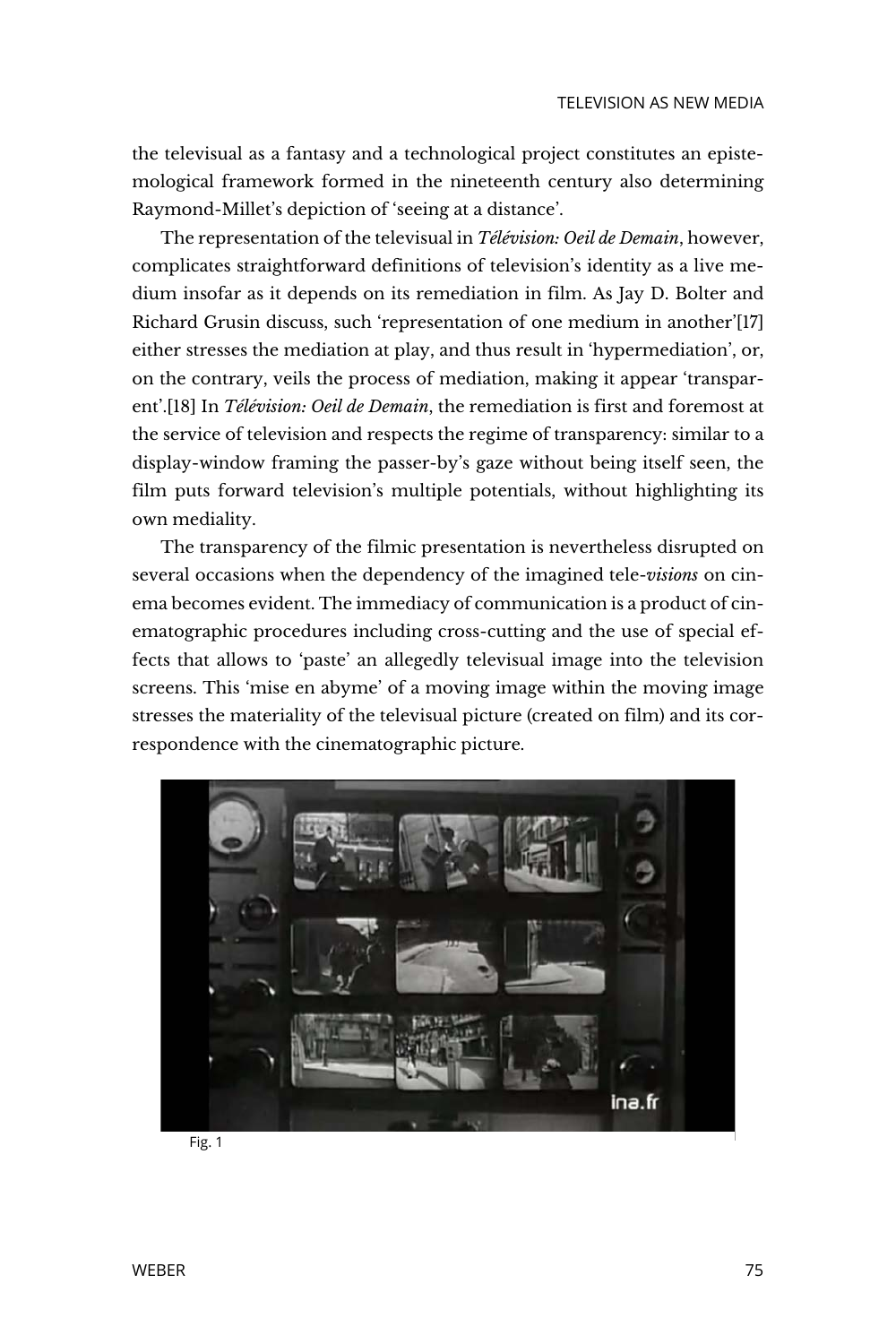the televisual as a fantasy and a technological project constitutes an epistemological framework formed in the nineteenth century also determining Raymond-Millet's depiction of 'seeing at a distance'.

The representation of the televisual in *Télévision: Oeil de Demain*, however, complicates straightforward definitions of television's identity as a live medium insofar as it depends on its remediation in film. As Jay D. Bolter and Richard Grusin discuss, such 'representation of one medium in another'[17] either stresses the mediation at play, and thus result in 'hypermediation', or, on the contrary, veils the process of mediation, making it appear 'transparent'.[18] In *Télévision: Oeil de Demain*, the remediation is first and foremost at the service of television and respects the regime of transparency: similar to a display-window framing the passer-by's gaze without being itself seen, the film puts forward television's multiple potentials, without highlighting its own mediality.

The transparency of the filmic presentation is nevertheless disrupted on several occasions when the dependency of the imagined tele-*visions* on cinema becomes evident. The immediacy of communication is a product of cinematographic procedures including cross-cutting and the use of special effects that allows to 'paste' an allegedly televisual image into the television screens. This 'mise en abyme' of a moving image within the moving image stresses the materiality of the televisual picture (created on film) and its correspondence with the cinematographic picture.



Fig. 1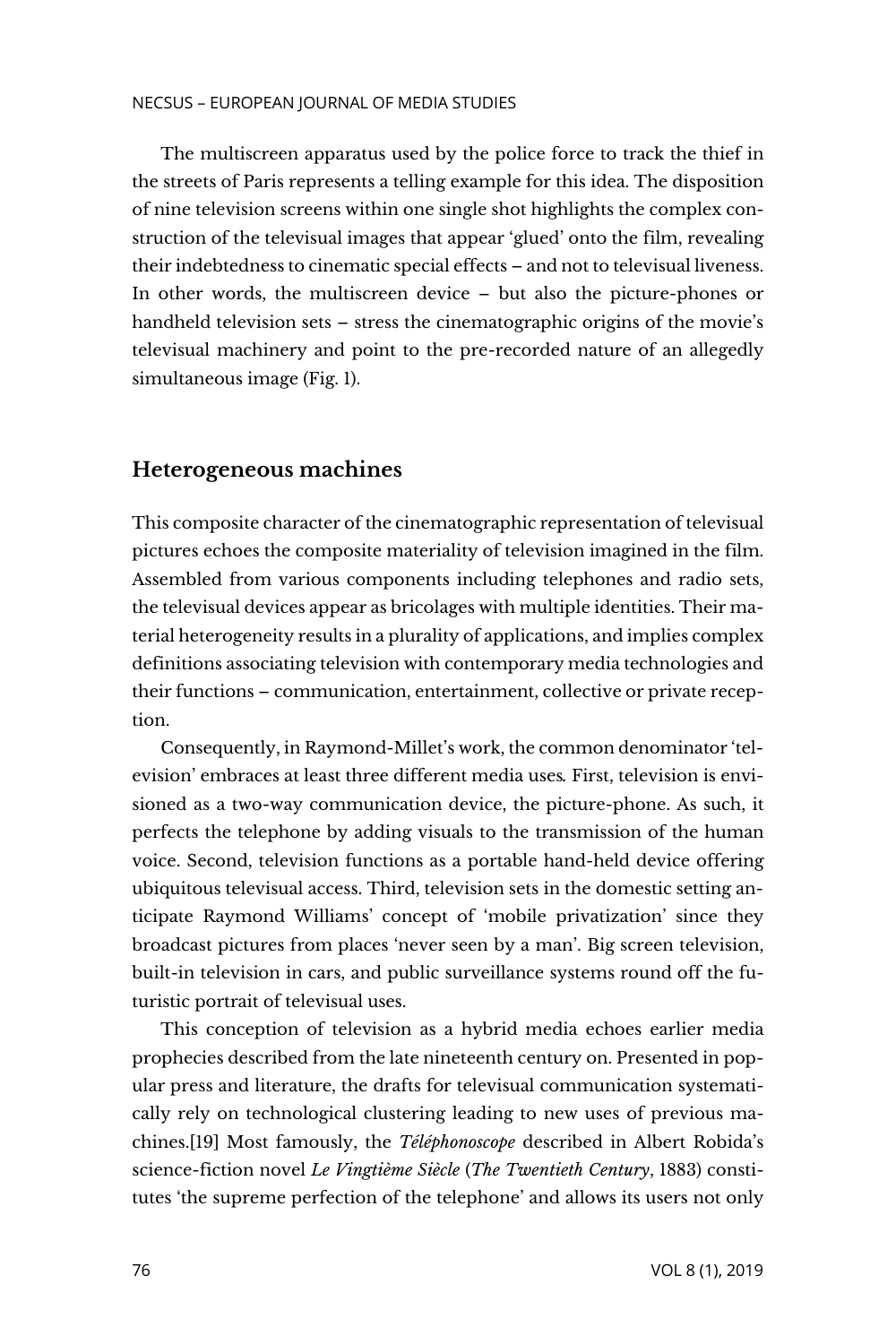#### NECSUS – EUROPEAN JOURNAL OF MEDIA STUDIES

The multiscreen apparatus used by the police force to track the thief in the streets of Paris represents a telling example for this idea. The disposition of nine television screens within one single shot highlights the complex construction of the televisual images that appear 'glued' onto the film, revealing their indebtedness to cinematic special effects – and not to televisual liveness. In other words, the multiscreen device – but also the picture-phones or handheld television sets – stress the cinematographic origins of the movie's televisual machinery and point to the pre-recorded nature of an allegedly simultaneous image (Fig. 1).

# **Heterogeneous machines**

This composite character of the cinematographic representation of televisual pictures echoes the composite materiality of television imagined in the film. Assembled from various components including telephones and radio sets, the televisual devices appear as bricolages with multiple identities. Their material heterogeneity results in a plurality of applications, and implies complex definitions associating television with contemporary media technologies and their functions – communication, entertainment, collective or private reception.

Consequently, in Raymond-Millet's work, the common denominator 'television' embraces at least three different media uses*.* First, television is envisioned as a two-way communication device, the picture-phone. As such, it perfects the telephone by adding visuals to the transmission of the human voice. Second, television functions as a portable hand-held device offering ubiquitous televisual access. Third, television sets in the domestic setting anticipate Raymond Williams' concept of 'mobile privatization' since they broadcast pictures from places 'never seen by a man'. Big screen television, built-in television in cars, and public surveillance systems round off the futuristic portrait of televisual uses.

This conception of television as a hybrid media echoes earlier media prophecies described from the late nineteenth century on. Presented in popular press and literature, the drafts for televisual communication systematically rely on technological clustering leading to new uses of previous machines.[19] Most famously, the *Téléphonoscope* described in Albert Robida's science-fiction novel *Le Vingtième Siècle* (*The Twentieth Century*, 1883) constitutes 'the supreme perfection of the telephone' and allows its users not only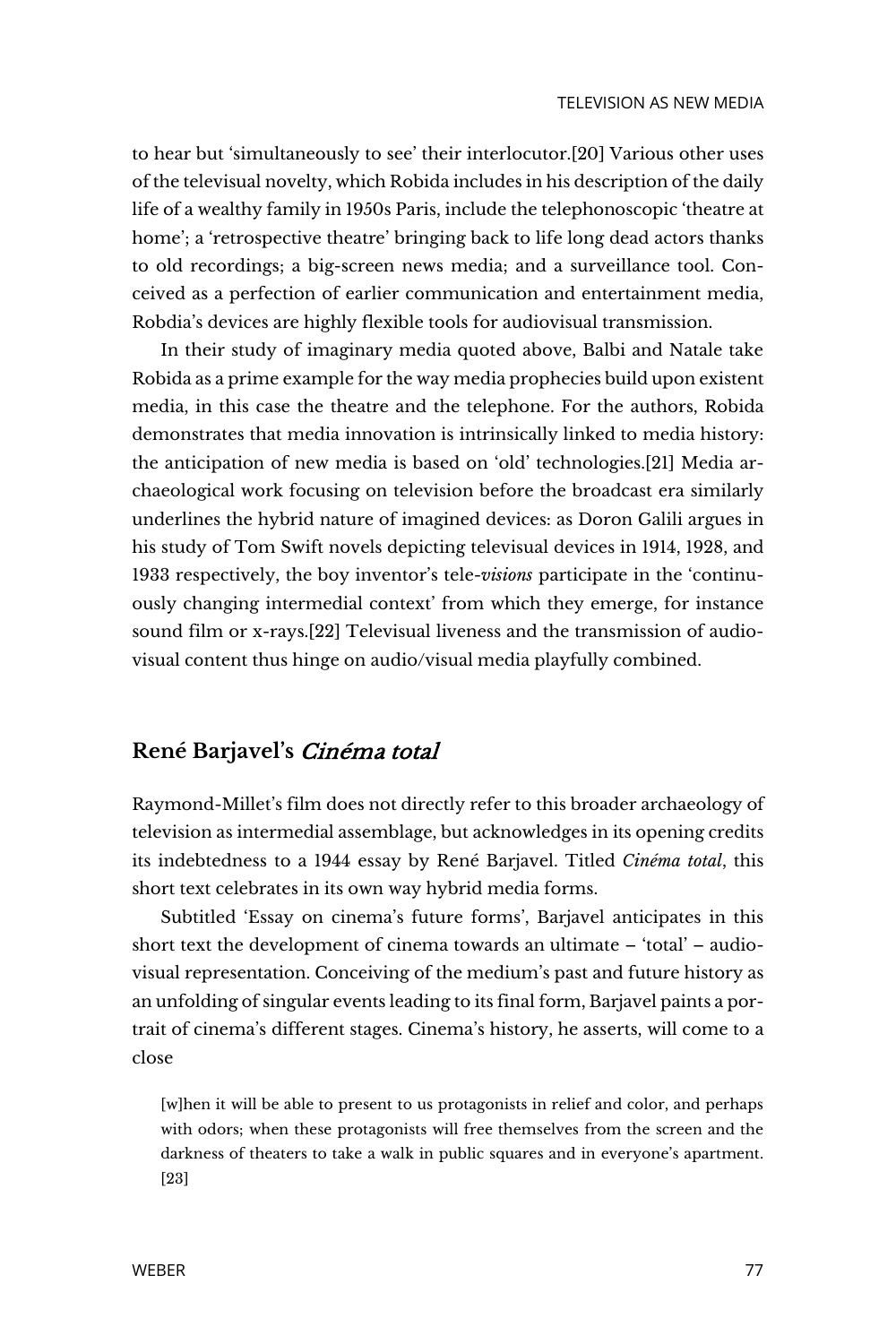to hear but 'simultaneously to see' their interlocutor.[20] Various other uses of the televisual novelty, which Robida includes in his description of the daily life of a wealthy family in 1950s Paris, include the telephonoscopic 'theatre at home'; a 'retrospective theatre' bringing back to life long dead actors thanks to old recordings; a big-screen news media; and a surveillance tool. Conceived as a perfection of earlier communication and entertainment media, Robdia's devices are highly flexible tools for audiovisual transmission.

In their study of imaginary media quoted above, Balbi and Natale take Robida as a prime example for the way media prophecies build upon existent media, in this case the theatre and the telephone. For the authors, Robida demonstrates that media innovation is intrinsically linked to media history: the anticipation of new media is based on 'old' technologies.[21] Media archaeological work focusing on television before the broadcast era similarly underlines the hybrid nature of imagined devices: as Doron Galili argues in his study of Tom Swift novels depicting televisual devices in 1914, 1928, and 1933 respectively, the boy inventor's tele-*visions* participate in the 'continuously changing intermedial context' from which they emerge, for instance sound film or x-rays.[22] Televisual liveness and the transmission of audiovisual content thus hinge on audio/visual media playfully combined.

# **René Barjavel's** Cinéma total

Raymond-Millet's film does not directly refer to this broader archaeology of television as intermedial assemblage, but acknowledges in its opening credits its indebtedness to a 1944 essay by René Barjavel. Titled *Cinéma total*, this short text celebrates in its own way hybrid media forms.

Subtitled 'Essay on cinema's future forms', Barjavel anticipates in this short text the development of cinema towards an ultimate – 'total' – audiovisual representation. Conceiving of the medium's past and future history as an unfolding of singular events leading to its final form, Barjavel paints a portrait of cinema's different stages. Cinema's history, he asserts, will come to a close

[w]hen it will be able to present to us protagonists in relief and color, and perhaps with odors; when these protagonists will free themselves from the screen and the darkness of theaters to take a walk in public squares and in everyone's apartment. [23]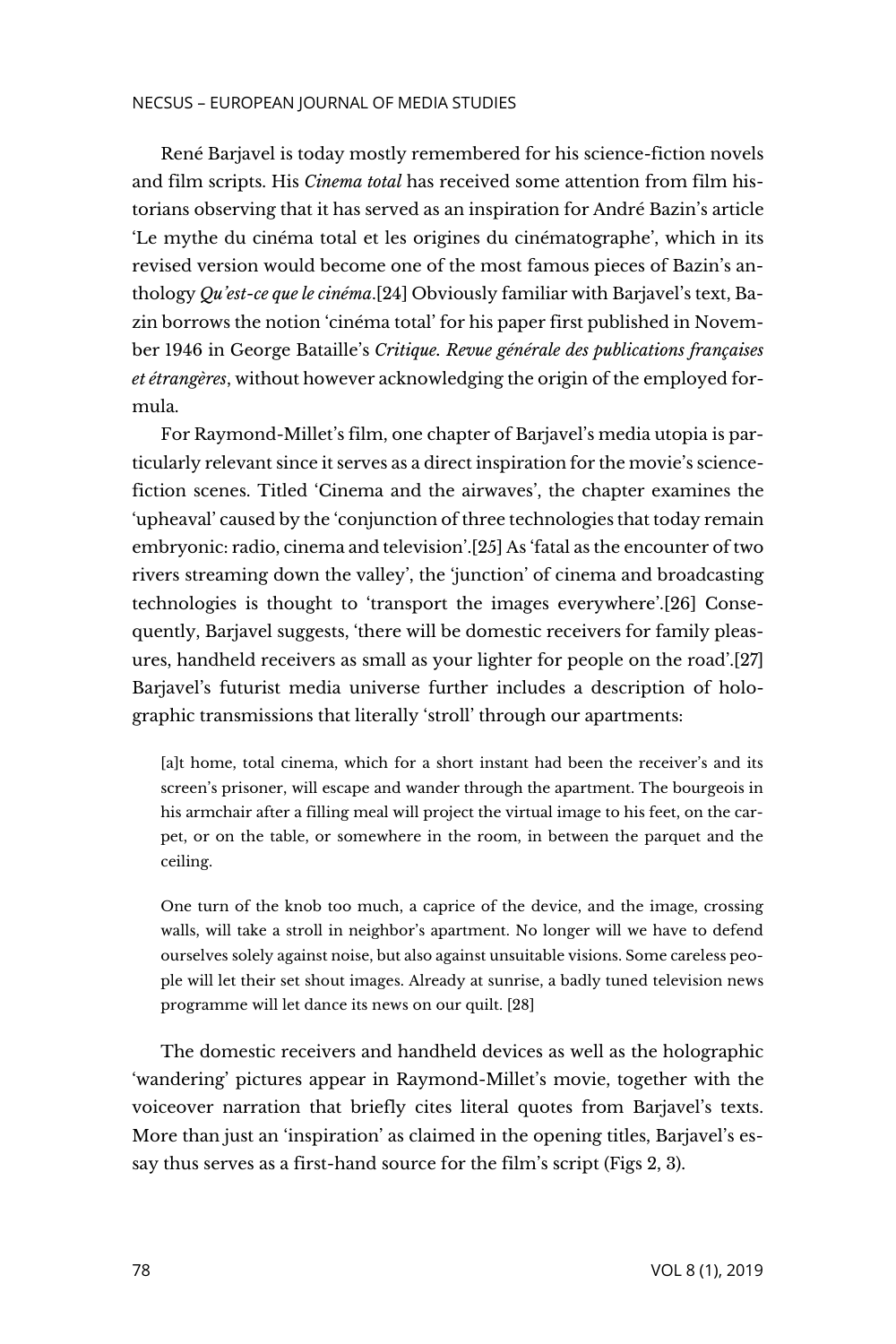#### NECSUS – EUROPEAN JOURNAL OF MEDIA STUDIES

René Barjavel is today mostly remembered for his science-fiction novels and film scripts. His *Cinema total* has received some attention from film historians observing that it has served as an inspiration for André Bazin's article 'Le mythe du cinéma total et les origines du cinématographe', which in its revised version would become one of the most famous pieces of Bazin's anthology *Qu'est-ce que le cinéma*.[24] Obviously familiar with Barjavel's text, Bazin borrows the notion 'cinéma total' for his paper first published in November 1946 in George Bataille's *Critique. Revue générale des publications françaises et étrangères*, without however acknowledging the origin of the employed formula.

For Raymond-Millet's film, one chapter of Barjavel's media utopia is particularly relevant since it serves as a direct inspiration for the movie's sciencefiction scenes. Titled 'Cinema and the airwaves', the chapter examines the 'upheaval' caused by the 'conjunction of three technologies that today remain embryonic: radio, cinema and television'.[25] As 'fatal as the encounter of two rivers streaming down the valley', the 'junction' of cinema and broadcasting technologies is thought to 'transport the images everywhere'.[26] Consequently, Barjavel suggests, 'there will be domestic receivers for family pleasures, handheld receivers as small as your lighter for people on the road'.[27] Barjavel's futurist media universe further includes a description of holographic transmissions that literally 'stroll' through our apartments:

[a]t home, total cinema, which for a short instant had been the receiver's and its screen's prisoner, will escape and wander through the apartment. The bourgeois in his armchair after a filling meal will project the virtual image to his feet, on the carpet, or on the table, or somewhere in the room, in between the parquet and the ceiling.

One turn of the knob too much, a caprice of the device, and the image, crossing walls, will take a stroll in neighbor's apartment. No longer will we have to defend ourselves solely against noise, but also against unsuitable visions. Some careless people will let their set shout images. Already at sunrise, a badly tuned television news programme will let dance its news on our quilt. [28]

The domestic receivers and handheld devices as well as the holographic 'wandering' pictures appear in Raymond-Millet's movie, together with the voiceover narration that briefly cites literal quotes from Barjavel's texts. More than just an 'inspiration' as claimed in the opening titles, Barjavel's essay thus serves as a first-hand source for the film's script (Figs 2, 3).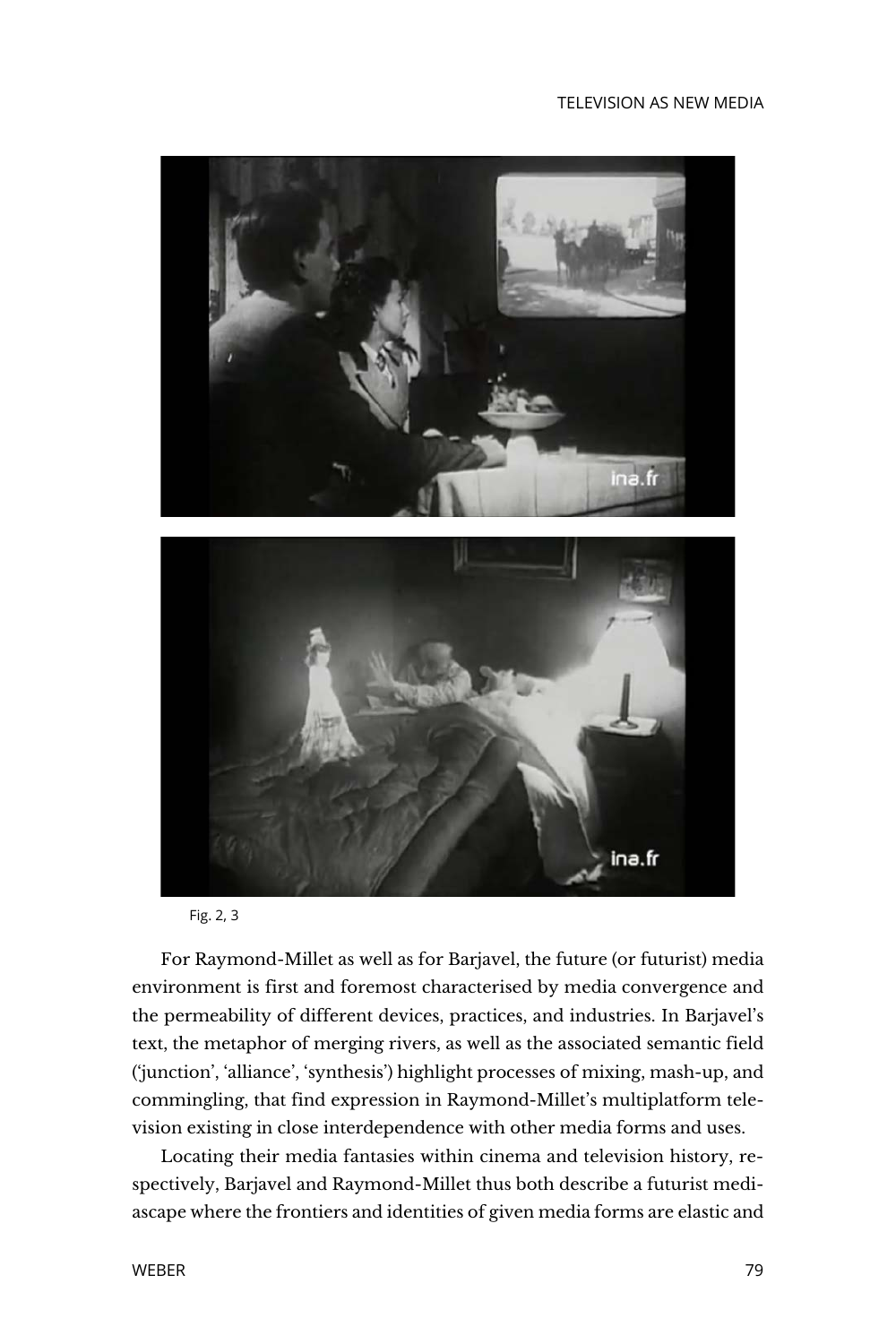#### TELEVISION AS NEW MEDIA



Fig. 2, 3

For Raymond-Millet as well as for Barjavel, the future (or futurist) media environment is first and foremost characterised by media convergence and the permeability of different devices, practices, and industries. In Barjavel's text, the metaphor of merging rivers, as well as the associated semantic field ('junction', 'alliance', 'synthesis') highlight processes of mixing, mash-up, and commingling, that find expression in Raymond-Millet's multiplatform television existing in close interdependence with other media forms and uses.

Locating their media fantasies within cinema and television history, respectively, Barjavel and Raymond-Millet thus both describe a futurist mediascape where the frontiers and identities of given media forms are elastic and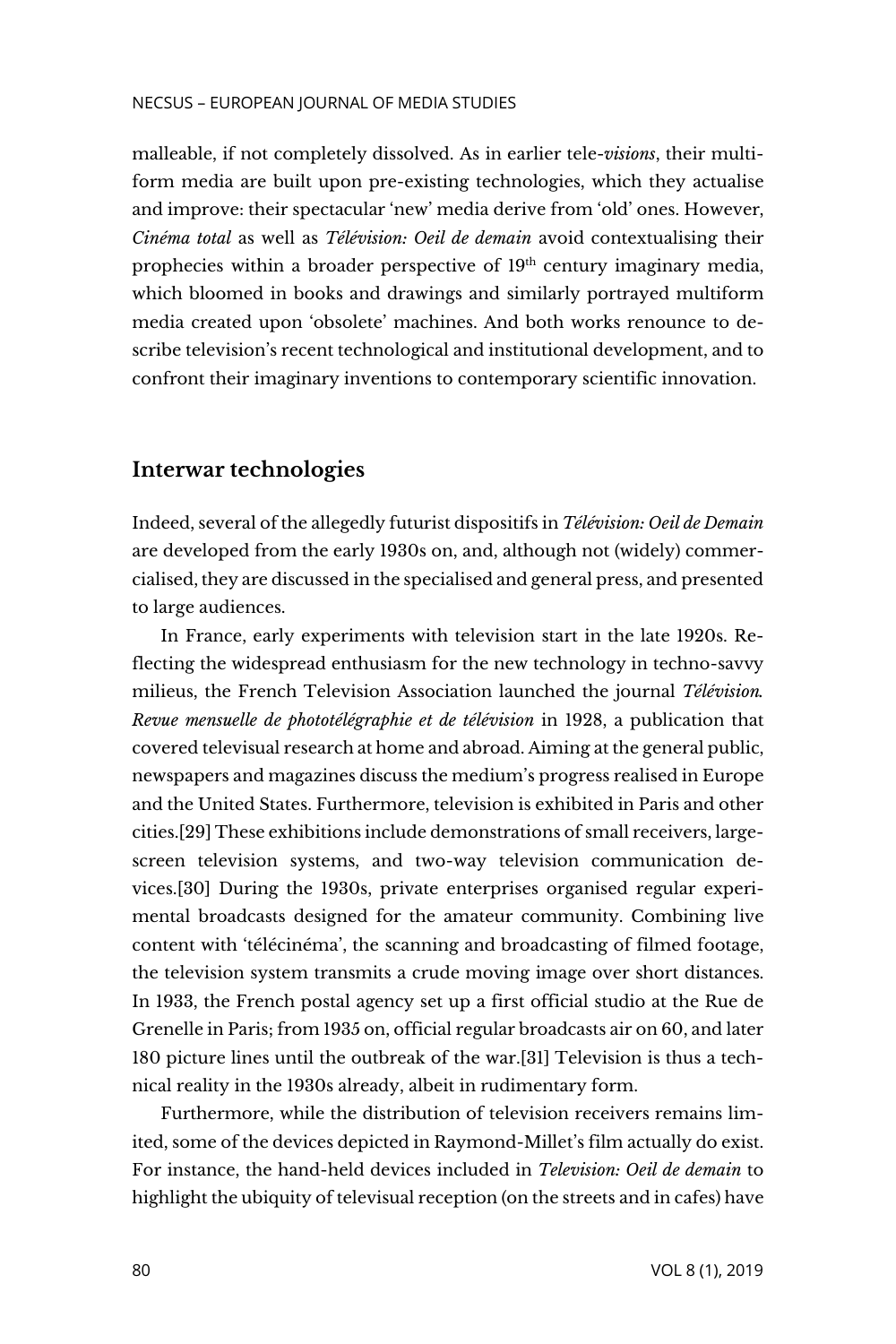malleable, if not completely dissolved. As in earlier tele-*visions*, their multiform media are built upon pre-existing technologies, which they actualise and improve: their spectacular 'new' media derive from 'old' ones. However, *Cinéma total* as well as *Télévision: Oeil de demain* avoid contextualising their prophecies within a broader perspective of  $19<sup>th</sup>$  century imaginary media, which bloomed in books and drawings and similarly portrayed multiform media created upon 'obsolete' machines. And both works renounce to describe television's recent technological and institutional development, and to confront their imaginary inventions to contemporary scientific innovation.

# **Interwar technologies**

Indeed, several of the allegedly futurist dispositifs in *Télévision: Oeil de Demain* are developed from the early 1930s on, and, although not (widely) commercialised, they are discussed in the specialised and general press, and presented to large audiences.

In France, early experiments with television start in the late 1920s. Reflecting the widespread enthusiasm for the new technology in techno-savvy milieus, the French Television Association launched the journal *Télévision. Revue mensuelle de phototélégraphie et de télévision* in 1928, a publication that covered televisual research at home and abroad. Aiming at the general public, newspapers and magazines discuss the medium's progress realised in Europe and the United States. Furthermore, television is exhibited in Paris and other cities.[29] These exhibitions include demonstrations of small receivers, largescreen television systems, and two-way television communication devices.[30] During the 1930s, private enterprises organised regular experimental broadcasts designed for the amateur community. Combining live content with 'télécinéma', the scanning and broadcasting of filmed footage, the television system transmits a crude moving image over short distances. In 1933, the French postal agency set up a first official studio at the Rue de Grenelle in Paris; from 1935 on, official regular broadcasts air on 60, and later 180 picture lines until the outbreak of the war.[31] Television is thus a technical reality in the 1930s already, albeit in rudimentary form.

Furthermore, while the distribution of television receivers remains limited, some of the devices depicted in Raymond-Millet's film actually do exist. For instance, the hand-held devices included in *Television: Oeil de demain* to highlight the ubiquity of televisual reception (on the streets and in cafes) have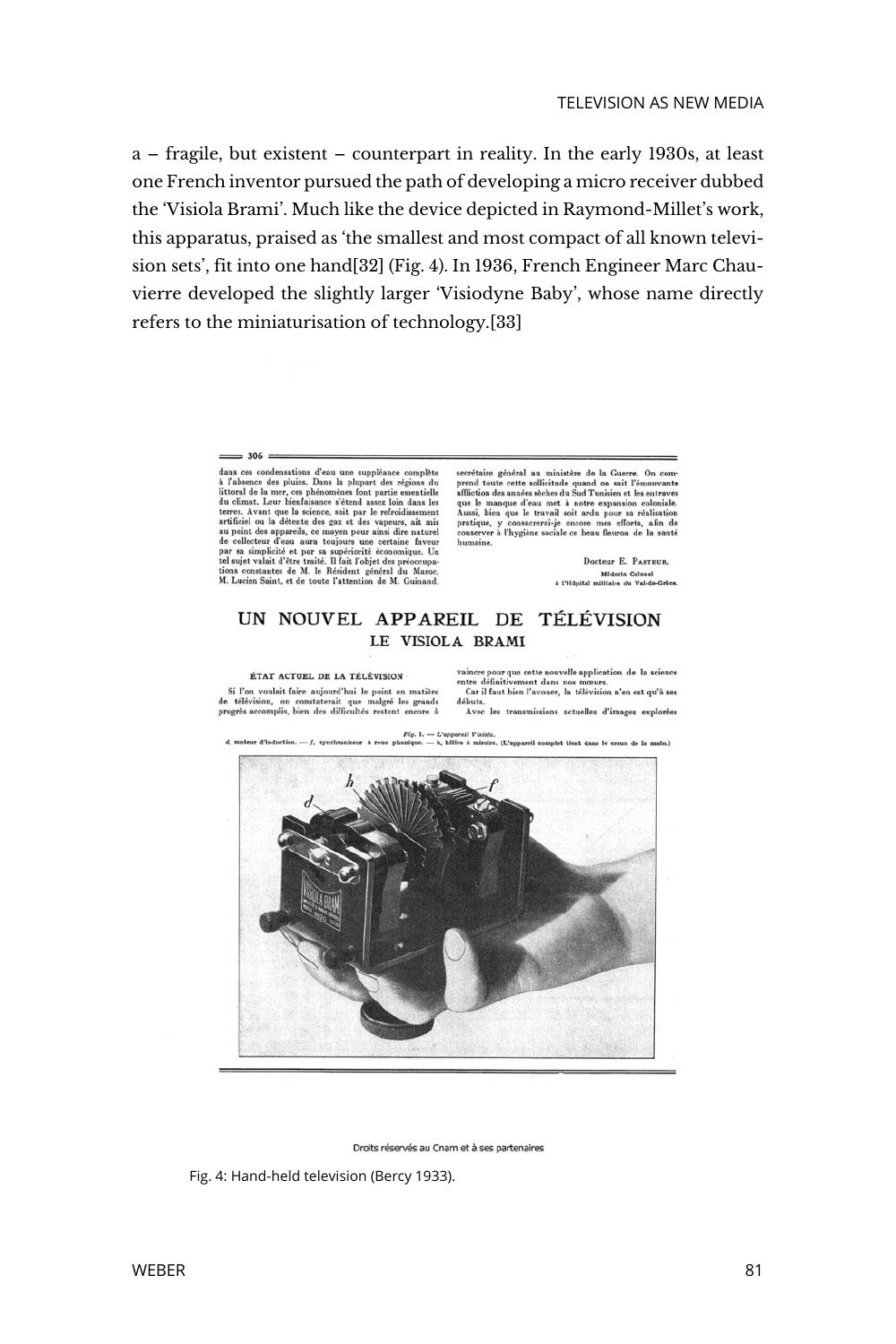a – fragile, but existent – counterpart in reality. In the early 1930s, at least one French inventor pursued the path of developing a micro receiver dubbed the 'Visiola Brami'. Much like the device depicted in Raymond-Millet's work, this apparatus, praised as 'the smallest and most compact of all known television sets', fit into one hand[32] (Fig. 4). In 1936, French Engineer Marc Chauvierre developed the slightly larger 'Visiodyne Baby', whose name directly refers to the miniaturisation of technology.[33]

#### $\equiv$  306 =

dans ces condensations d'eau une suppléance complète dans ess condenantous d'eau une suppléance complète d<br/> $\Lambda$  l'absence des pluises. Dans la plupart des régions du<br> du climat. Leur bénérale de la presse des pluises de la presse de du climat. Leur bénérale<br/>se de le secrétaire général au ministère de la Guerre. On comprend toute cette sollicitude quand on sait l'émouvante afficient afficient des années sèches du Sud Tunisien et les entraves que le manque d'eau met à notre expansion c

Docteur E. PASTEUR, Médecin Colonel<br>à l'Hôpital militaire du Val-de-Grâce.

#### UN NOUVEL APPAREIL DE TÉLÉVISION LE VISIOLA BRAMI

#### ÉTAT ACTUEL DE LA TÉLÉVISION

Si l'on voulait faire aujourd'hui le point en matière de télévision, on constaterait que malgré les grands vaincre pour que cette nouvelle application de la science<br>entre définitivement dans nos mœurs.<br>Car il faut bien l'avouer, la télévision n'en est qu'à ses Car il faut bien l'avouer, la télévision n'en est qu'à ses<br>débuts.<br>Avec les transmissions actuelles d'images explorées

 ${\it Fig. 1.}\longrightarrow L^{*}apparell~Vliola.$   ${\it High 1}$  salque. —  $h,$  hélice à miroirs. (L'appareil complet tient dans le creux de la main.) d, moteur d'induction. -  $f$ , synchroniseur à roue pho-



Droits réservés au Cnam et à ses partenaires

Fig. 4: Hand-held television (Bercy 1933).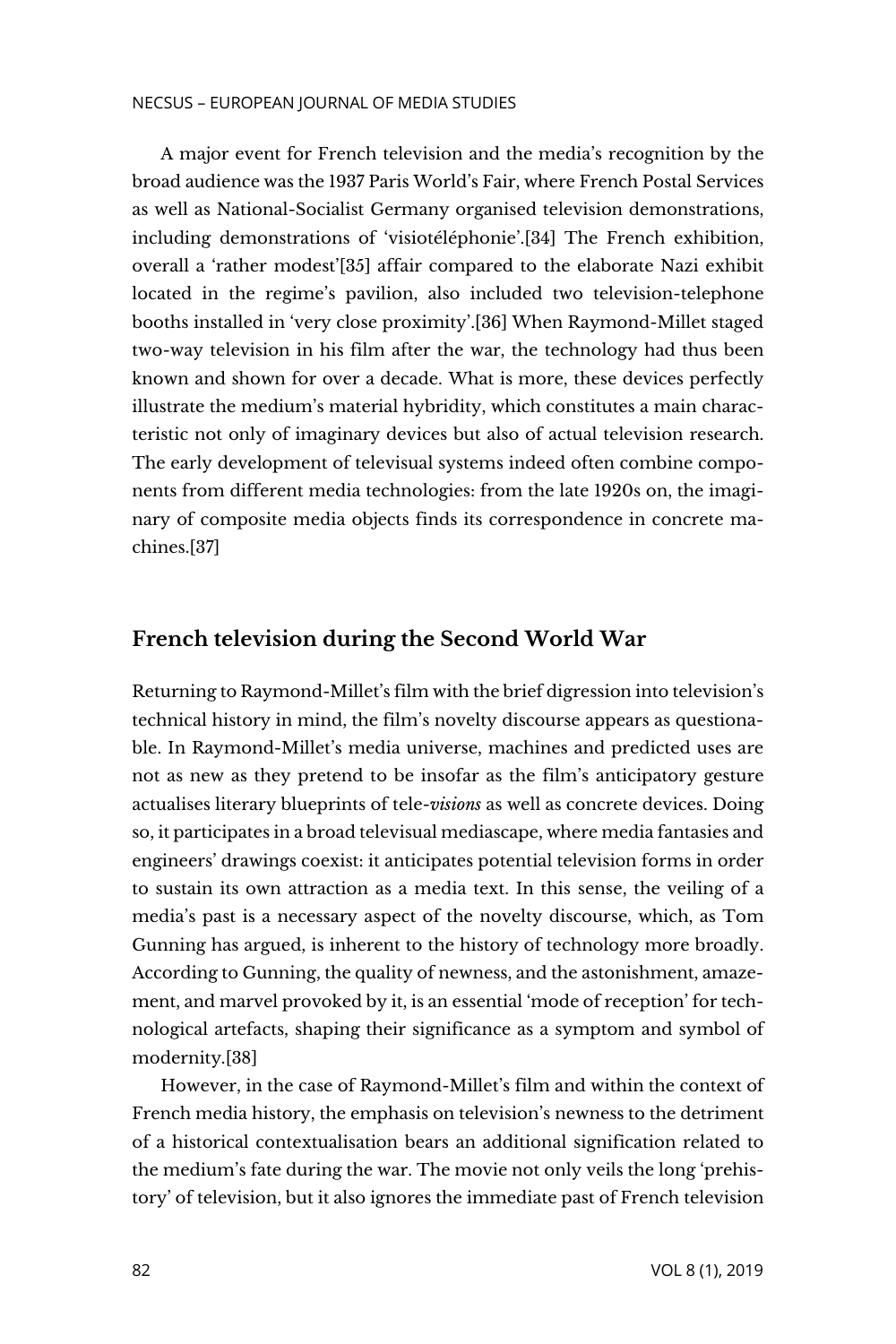A major event for French television and the media's recognition by the broad audience was the 1937 Paris World's Fair, where French Postal Services as well as National-Socialist Germany organised television demonstrations, including demonstrations of 'visiotéléphonie'.[34] The French exhibition, overall a 'rather modest'[35] affair compared to the elaborate Nazi exhibit located in the regime's pavilion, also included two television-telephone booths installed in 'very close proximity'.[36] When Raymond-Millet staged two-way television in his film after the war, the technology had thus been known and shown for over a decade. What is more, these devices perfectly illustrate the medium's material hybridity, which constitutes a main characteristic not only of imaginary devices but also of actual television research. The early development of televisual systems indeed often combine components from different media technologies: from the late 1920s on, the imaginary of composite media objects finds its correspondence in concrete machines.[37]

# **French television during the Second World War**

Returning to Raymond-Millet's film with the brief digression into television's technical history in mind, the film's novelty discourse appears as questionable. In Raymond-Millet's media universe, machines and predicted uses are not as new as they pretend to be insofar as the film's anticipatory gesture actualises literary blueprints of tele-*visions* as well as concrete devices. Doing so, it participates in a broad televisual mediascape, where media fantasies and engineers' drawings coexist: it anticipates potential television forms in order to sustain its own attraction as a media text. In this sense, the veiling of a media's past is a necessary aspect of the novelty discourse, which, as Tom Gunning has argued, is inherent to the history of technology more broadly. According to Gunning, the quality of newness, and the astonishment, amazement, and marvel provoked by it, is an essential 'mode of reception' for technological artefacts, shaping their significance as a symptom and symbol of modernity.[38]

However, in the case of Raymond-Millet's film and within the context of French media history, the emphasis on television's newness to the detriment of a historical contextualisation bears an additional signification related to the medium's fate during the war. The movie not only veils the long 'prehistory' of television, but it also ignores the immediate past of French television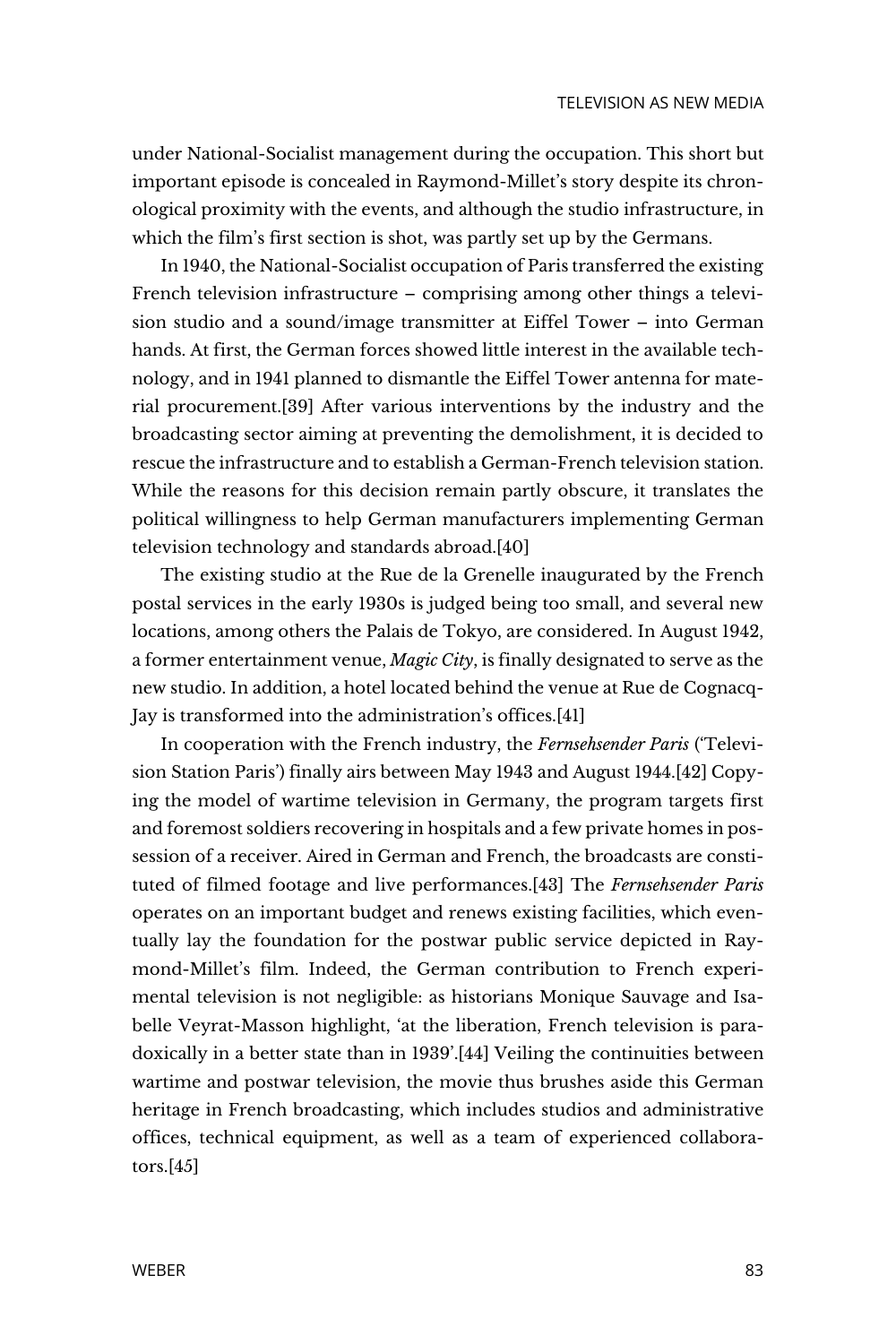under National-Socialist management during the occupation. This short but important episode is concealed in Raymond-Millet's story despite its chronological proximity with the events, and although the studio infrastructure, in which the film's first section is shot, was partly set up by the Germans.

In 1940, the National-Socialist occupation of Paris transferred the existing French television infrastructure – comprising among other things a television studio and a sound/image transmitter at Eiffel Tower – into German hands. At first, the German forces showed little interest in the available technology, and in 1941 planned to dismantle the Eiffel Tower antenna for material procurement.[39] After various interventions by the industry and the broadcasting sector aiming at preventing the demolishment, it is decided to rescue the infrastructure and to establish a German-French television station. While the reasons for this decision remain partly obscure, it translates the political willingness to help German manufacturers implementing German television technology and standards abroad.[40]

The existing studio at the Rue de la Grenelle inaugurated by the French postal services in the early 1930s is judged being too small, and several new locations, among others the Palais de Tokyo, are considered. In August 1942, a former entertainment venue, *Magic City*, is finally designated to serve as the new studio. In addition, a hotel located behind the venue at Rue de Cognacq-Jay is transformed into the administration's offices.[41]

In cooperation with the French industry, the *Fernsehsender Paris* ('Television Station Paris') finally airs between May 1943 and August 1944.[42] Copying the model of wartime television in Germany, the program targets first and foremost soldiers recovering in hospitals and a few private homes in possession of a receiver. Aired in German and French, the broadcasts are constituted of filmed footage and live performances.[43] The *Fernsehsender Paris* operates on an important budget and renews existing facilities, which eventually lay the foundation for the postwar public service depicted in Raymond-Millet's film. Indeed, the German contribution to French experimental television is not negligible: as historians Monique Sauvage and Isabelle Veyrat-Masson highlight, 'at the liberation, French television is paradoxically in a better state than in 1939'.[44] Veiling the continuities between wartime and postwar television, the movie thus brushes aside this German heritage in French broadcasting, which includes studios and administrative offices, technical equipment, as well as a team of experienced collaborators.[45]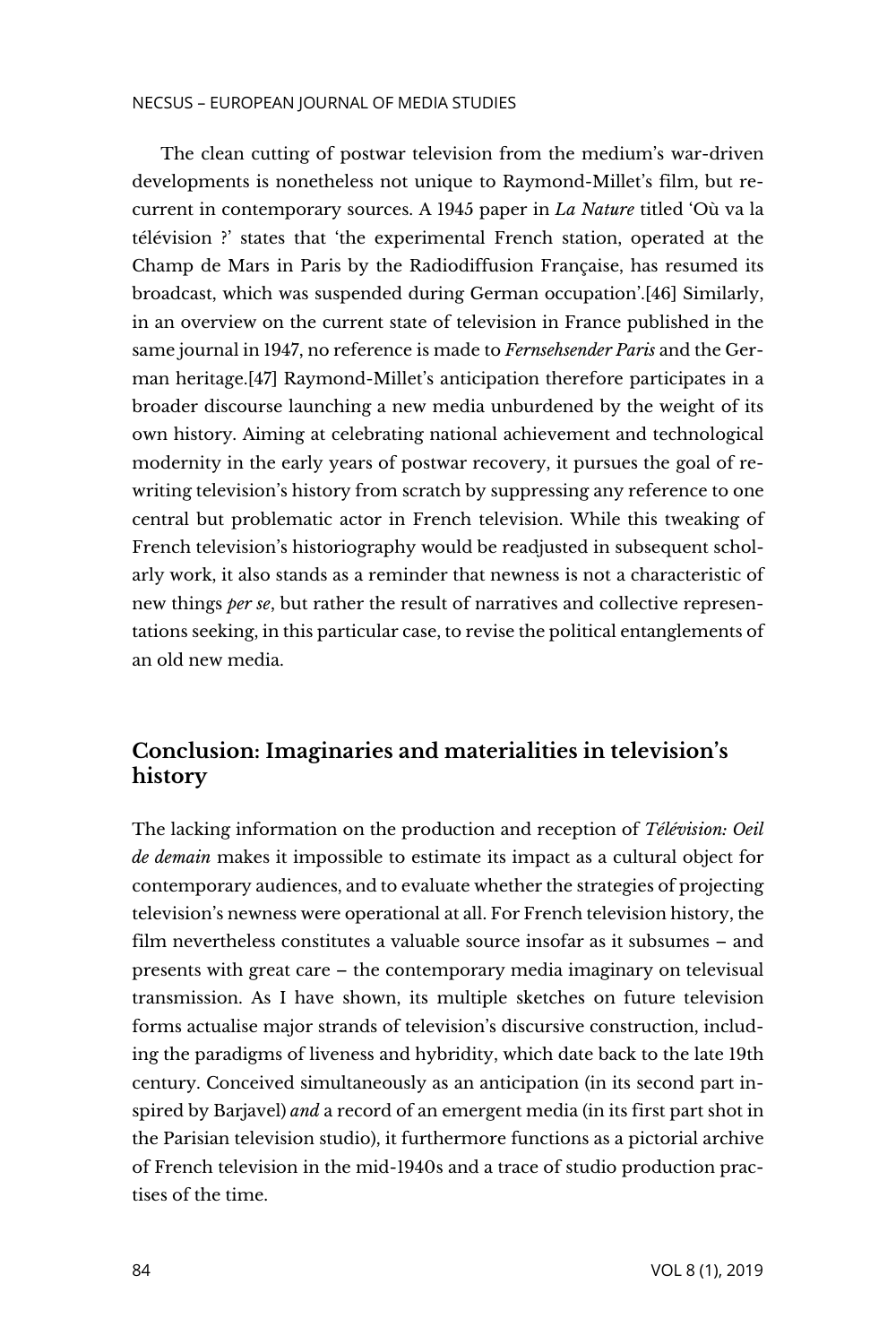#### NECSUS – EUROPEAN JOURNAL OF MEDIA STUDIES

The clean cutting of postwar television from the medium's war-driven developments is nonetheless not unique to Raymond-Millet's film, but recurrent in contemporary sources. A 1945 paper in *La Nature* titled 'Où va la télévision ?' states that 'the experimental French station, operated at the Champ de Mars in Paris by the Radiodiffusion Française, has resumed its broadcast, which was suspended during German occupation'.[46] Similarly, in an overview on the current state of television in France published in the same journal in 1947, no reference is made to *Fernsehsender Paris* and the German heritage.[47] Raymond-Millet's anticipation therefore participates in a broader discourse launching a new media unburdened by the weight of its own history. Aiming at celebrating national achievement and technological modernity in the early years of postwar recovery, it pursues the goal of rewriting television's history from scratch by suppressing any reference to one central but problematic actor in French television. While this tweaking of French television's historiography would be readjusted in subsequent scholarly work, it also stands as a reminder that newness is not a characteristic of new things *per se*, but rather the result of narratives and collective representations seeking, in this particular case, to revise the political entanglements of an old new media.

# **Conclusion: Imaginaries and materialities in television's history**

The lacking information on the production and reception of *Télévision: Oeil de demain* makes it impossible to estimate its impact as a cultural object for contemporary audiences, and to evaluate whether the strategies of projecting television's newness were operational at all. For French television history, the film nevertheless constitutes a valuable source insofar as it subsumes – and presents with great care – the contemporary media imaginary on televisual transmission. As I have shown, its multiple sketches on future television forms actualise major strands of television's discursive construction, including the paradigms of liveness and hybridity, which date back to the late 19th century. Conceived simultaneously as an anticipation (in its second part inspired by Barjavel) *and* a record of an emergent media (in its first part shot in the Parisian television studio), it furthermore functions as a pictorial archive of French television in the mid-1940s and a trace of studio production practises of the time.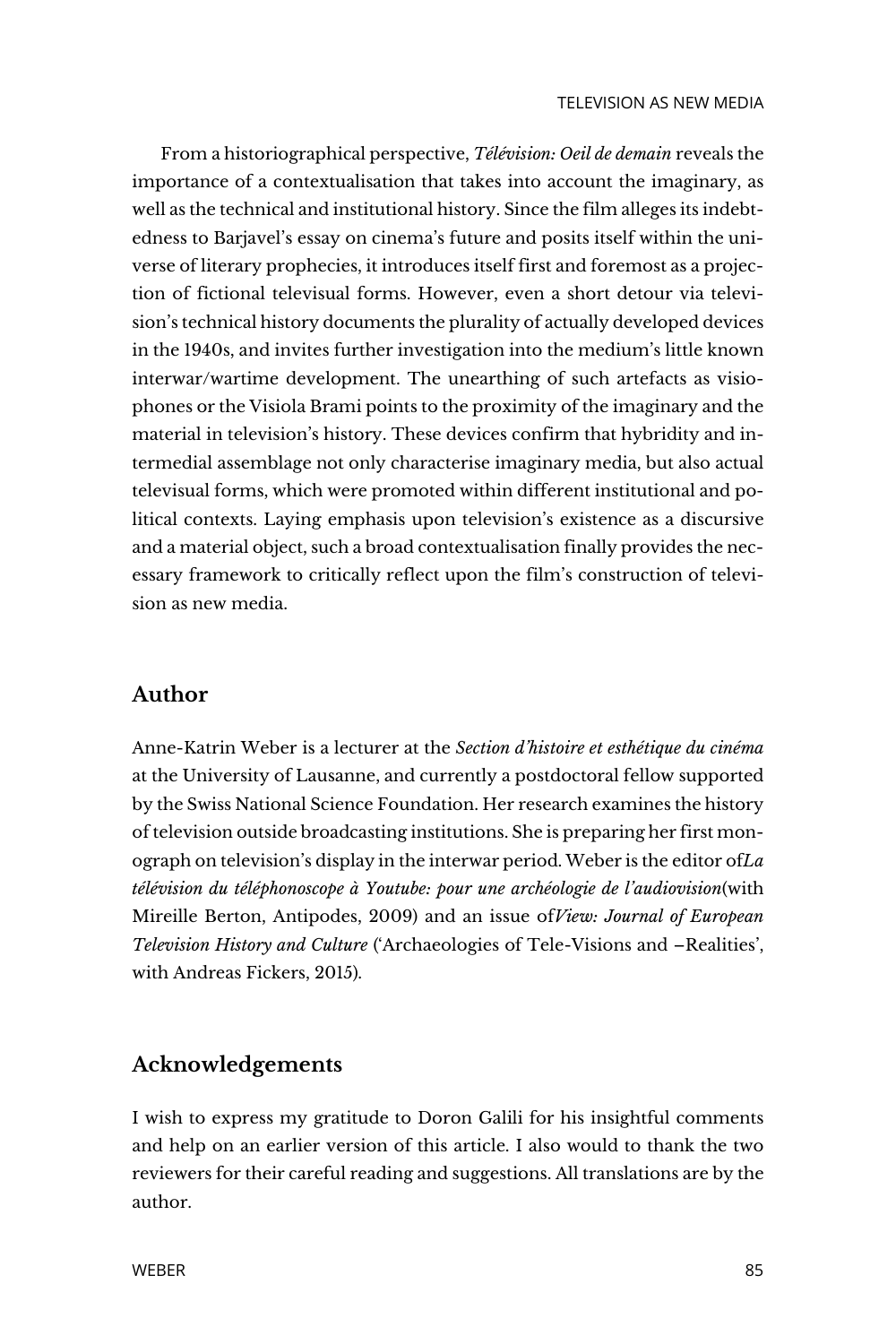From a historiographical perspective, *Télévision: Oeil de demain* reveals the importance of a contextualisation that takes into account the imaginary, as well as the technical and institutional history. Since the film alleges its indebtedness to Barjavel's essay on cinema's future and posits itself within the universe of literary prophecies, it introduces itself first and foremost as a projection of fictional televisual forms. However, even a short detour via television's technical history documents the plurality of actually developed devices in the 1940s, and invites further investigation into the medium's little known interwar/wartime development. The unearthing of such artefacts as visiophones or the Visiola Brami points to the proximity of the imaginary and the material in television's history. These devices confirm that hybridity and intermedial assemblage not only characterise imaginary media, but also actual televisual forms, which were promoted within different institutional and political contexts. Laying emphasis upon television's existence as a discursive and a material object, such a broad contextualisation finally provides the necessary framework to critically reflect upon the film's construction of television as new media.

# **Author**

Anne-Katrin Weber is a lecturer at the *Section d'histoire et esthétique du cinéma*  at the University of Lausanne, and currently a postdoctoral fellow supported by the Swiss National Science Foundation. Her research examines the history of television outside broadcasting institutions. She is preparing her first monograph on television's display in the interwar period. Weber is the editor of*La télévision du téléphonoscope à Youtube: pour une archéologie de l'audiovision*(with Mireille Berton, Antipodes, 2009) and an issue of*View: Journal of European Television History and Culture* ('Archaeologies of Tele-Visions and –Realities', with Andreas Fickers, 2015).

# **Acknowledgements**

I wish to express my gratitude to Doron Galili for his insightful comments and help on an earlier version of this article. I also would to thank the two reviewers for their careful reading and suggestions. All translations are by the author.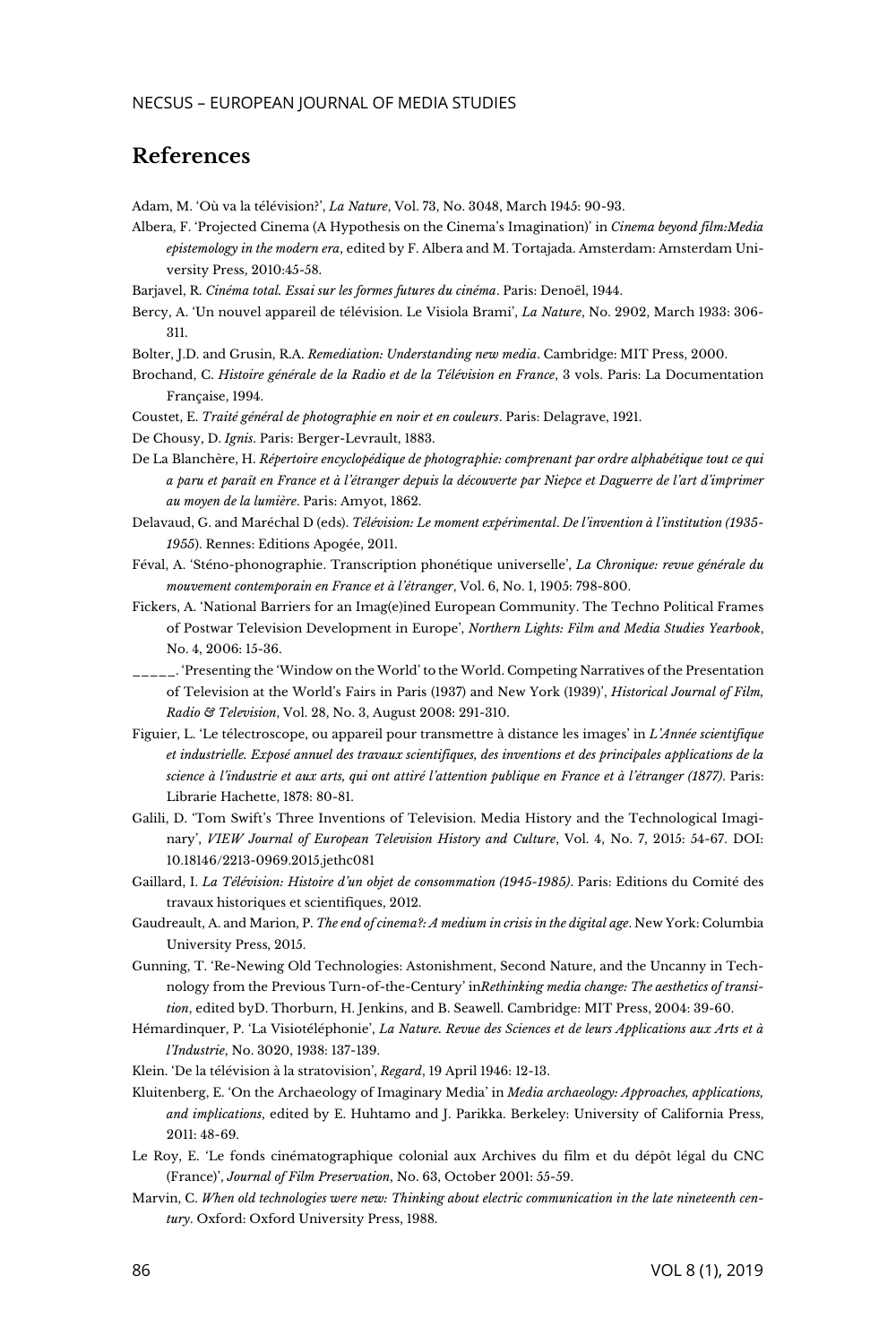# **References**

Adam, M. 'Où va la télévision?', *La Nature*, Vol. 73, No. 3048, March 1945: 90-93.

Albera, F. 'Projected Cinema (A Hypothesis on the Cinema's Imagination)' in *Cinema beyond film:Media epistemology in the modern era*, edited by F. Albera and M. Tortajada. Amsterdam: Amsterdam University Press, 2010:45-58.

Barjavel, R. *Cinéma total. Essai sur les formes futures du cinéma*. Paris: Denoël, 1944.

Bercy, A. 'Un nouvel appareil de télévision. Le Visiola Brami', *La Nature*, No. 2902, March 1933: 306- 311.

Bolter, J.D. and Grusin, R.A. *Remediation: Understanding new media*. Cambridge: MIT Press, 2000.

Brochand, C. *Histoire générale de la Radio et de la Télévision en France*, 3 vols. Paris: La Documentation Française, 1994.

Coustet, E. *Traité général de photographie en noir et en couleurs*. Paris: Delagrave, 1921.

De Chousy, D. *Ignis*. Paris: Berger-Levrault, 1883.

De La Blanchère, H. *Répertoire encyclopédique de photographie: comprenant par ordre alphabétique tout ce qui a paru et paraît en France et à l'étranger depuis la découverte par Niepce et Daguerre de l'art d'imprimer au moyen de la lumière*. Paris: Amyot, 1862.

Delavaud, G. and Maréchal D (eds). *Télévision: Le moment expérimental*. *De l'invention à l'institution (1935- 1955*). Rennes: Editions Apogée, 2011.

Féval, A. 'Sténo-phonographie. Transcription phonétique universelle', *La Chronique: revue générale du mouvement contemporain en France et à l'étranger*, Vol. 6, No. 1, 1905: 798-800.

Fickers, A. 'National Barriers for an Imag(e)ined European Community. The Techno Political Frames of Postwar Television Development in Europe', *Northern Lights: Film and Media Studies Yearbook*, No. 4, 2006: 15-36.

\_\_\_\_\_. 'Presenting the 'Window on the World' to the World. Competing Narratives of the Presentation of Television at the World's Fairs in Paris (1937) and New York (1939)', *Historical Journal of Film, Radio & Television*, Vol. 28, No. 3, August 2008: 291-310.

Figuier, L. 'Le télectroscope, ou appareil pour transmettre à distance les images' in *L'Année scientifique et industrielle. Exposé annuel des travaux scientifiques, des inventions et des principales applications de la science à l'industrie et aux arts, qui ont attiré l'attention publique en France et à l'étranger (1877)*. Paris: Librarie Hachette, 1878: 80-81.

Galili, D. 'Tom Swift's Three Inventions of Television. Media History and the Technological Imaginary', *VIEW Journal of European Television History and Culture*, Vol. 4, No. 7, 2015: 54-67. DOI: 10.18146/2213-0969.2015.jethc081

Gaillard, I. *La Télévision: Histoire d'un objet de consommation (1945-1985)*. Paris: Editions du Comité des travaux historiques et scientifiques, 2012.

Gaudreault, A. and Marion, P. *The end of cinema?: A medium in crisis in the digital age*. New York: Columbia University Press, 2015.

Gunning, T. 'Re-Newing Old Technologies: Astonishment, Second Nature, and the Uncanny in Technology from the Previous Turn-of-the-Century' in*Rethinking media change: The aesthetics of transition*, edited byD. Thorburn, H. Jenkins, and B. Seawell. Cambridge: MIT Press, 2004: 39-60.

Hémardinquer, P. 'La Visiotéléphonie', *La Nature. Revue des Sciences et de leurs Applications aux Arts et à l'Industrie*, No. 3020, 1938: 137-139.

Klein. 'De la télévision à la stratovision', *Regard*, 19 April 1946: 12-13.

Kluitenberg, E. 'On the Archaeology of Imaginary Media' in *Media archaeology: Approaches, applications, and implications*, edited by E. Huhtamo and J. Parikka. Berkeley: University of California Press, 2011: 48-69.

Le Roy, E. 'Le fonds cinématographique colonial aux Archives du film et du dépôt légal du CNC (France)', *Journal of Film Preservation*, No. 63, October 2001: 55-59.

Marvin, C. *When old technologies were new: Thinking about electric communication in the late nineteenth century*. Oxford: Oxford University Press, 1988.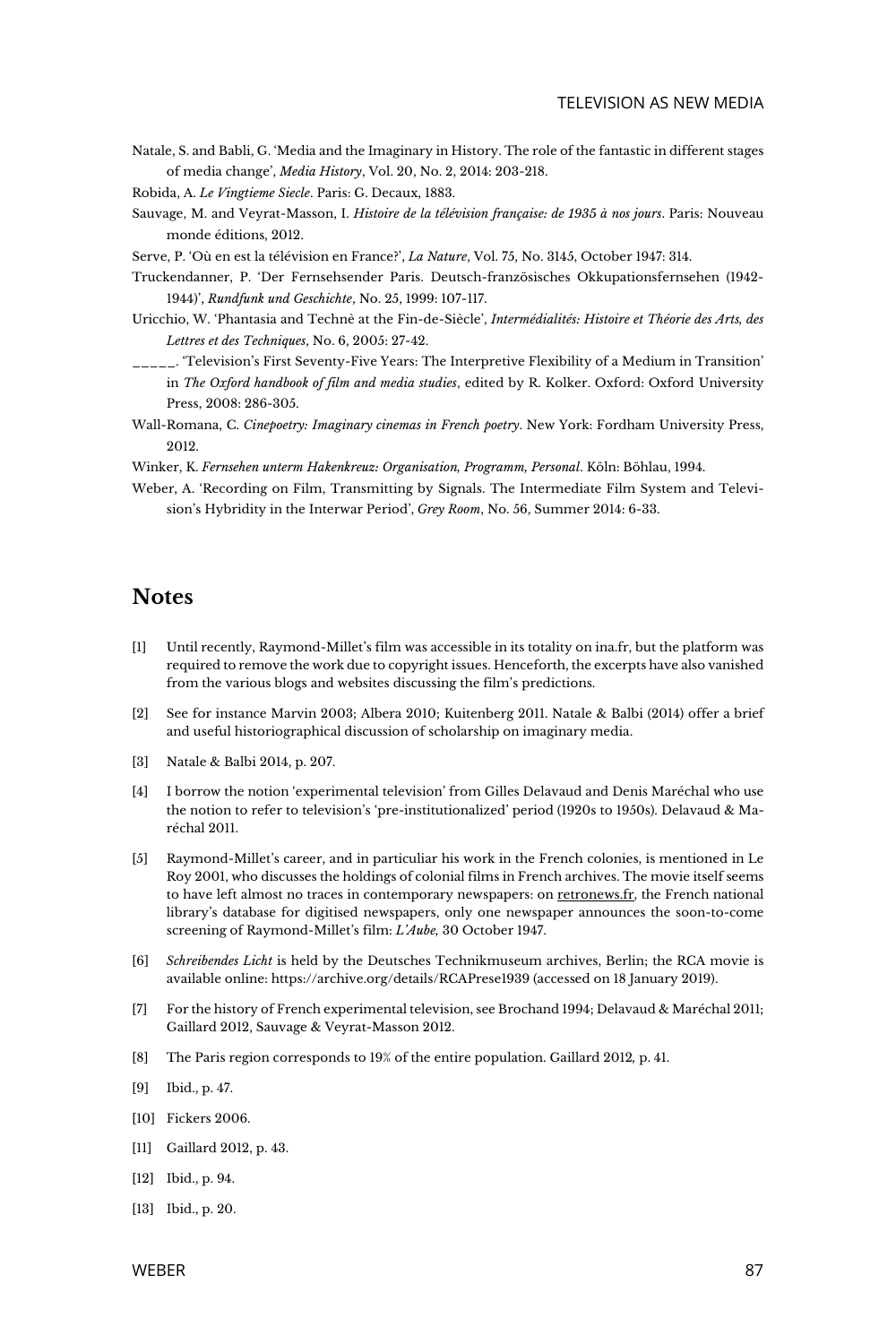Natale, S. and Babli, G. 'Media and the Imaginary in History. The role of the fantastic in different stages of media change', *Media History*, Vol. 20, No. 2, 2014: 203-218.

Robida, A. *Le Vingtieme Siecle*. Paris: G. Decaux, 1883.

Sauvage, M. and Veyrat-Masson, I. *Histoire de la télévision française: de 1935 à nos jours*. Paris: Nouveau monde éditions, 2012.

Serve, P. 'Où en est la télévision en France?', *La Nature*, Vol. 75, No. 3145, October 1947: 314.

- Truckendanner, P. 'Der Fernsehsender Paris. Deutsch-französisches Okkupationsfernsehen (1942- 1944)', *Rundfunk und Geschichte*, No. 25, 1999: 107-117.
- Uricchio, W. 'Phantasia and Technè at the Fin-de-Siècle', *Intermédialités: Histoire et Théorie des Arts, des Lettres et des Techniques*, No. 6, 2005: 27-42.
- \_\_\_\_\_. 'Television's First Seventy-Five Years: The Interpretive Flexibility of a Medium in Transition' in *The Oxford handbook of film and media studies*, edited by R. Kolker. Oxford: Oxford University Press, 2008: 286-305.
- Wall-Romana, C. *Cinepoetry: Imaginary cinemas in French poetry*. New York: Fordham University Press, 2012.
- Winker, K. *Fernsehen unterm Hakenkreuz: Organisation, Programm, Personal*. Köln: Böhlau, 1994.
- Weber, A. 'Recording on Film, Transmitting by Signals. The Intermediate Film System and Television's Hybridity in the Interwar Period', *Grey Room*, No. 56, Summer 2014: 6-33.

### **Notes**

- [1] Until recently, Raymond-Millet's film was accessible in its totality on ina.fr, but the platform was required to remove the work due to copyright issues. Henceforth, the excerpts have also vanished from the various blogs and websites discussing the film's predictions.
- [2] See for instance Marvin 2003; Albera 2010; Kuitenberg 2011. Natale & Balbi (2014) offer a brief and useful historiographical discussion of scholarship on imaginary media.
- [3] Natale & Balbi 2014, p. 207.
- [4] I borrow the notion 'experimental television' from Gilles Delavaud and Denis Maréchal who use the notion to refer to television's 'pre-institutionalized' period (1920s to 1950s). Delavaud & Maréchal 2011.
- [5] Raymond-Millet's career, and in particuliar his work in the French colonies, is mentioned in Le Roy 2001, who discusses the holdings of colonial films in French archives. The movie itself seems to have left almost no traces in contemporary newspapers: o[n retronews.fr,](mailto:https://www.retronews.fr/) the French national library's database for digitised newspapers, only one newspaper announces the soon-to-come screening of Raymond-Millet's film: *L'Aube,* 30 October 1947.
- [6] *Schreibendes Licht* is held by the Deutsches Technikmuseum archives, Berlin; the RCA movie is available online: https://archive.org/details/RCAPrese1939 (accessed on 18 January 2019).
- [7] For the history of French experimental television, see Brochand 1994; Delavaud & Maréchal 2011; Gaillard 2012, Sauvage & Veyrat-Masson 2012.
- [8] The Paris region corresponds to 19% of the entire population. Gaillard 2012*,* p. 41.
- [9] Ibid., p. 47.
- [10] Fickers 2006.
- [11] Gaillard 2012, p. 43.
- [12] Ibid., p. 94.
- [13] Ibid., p. 20.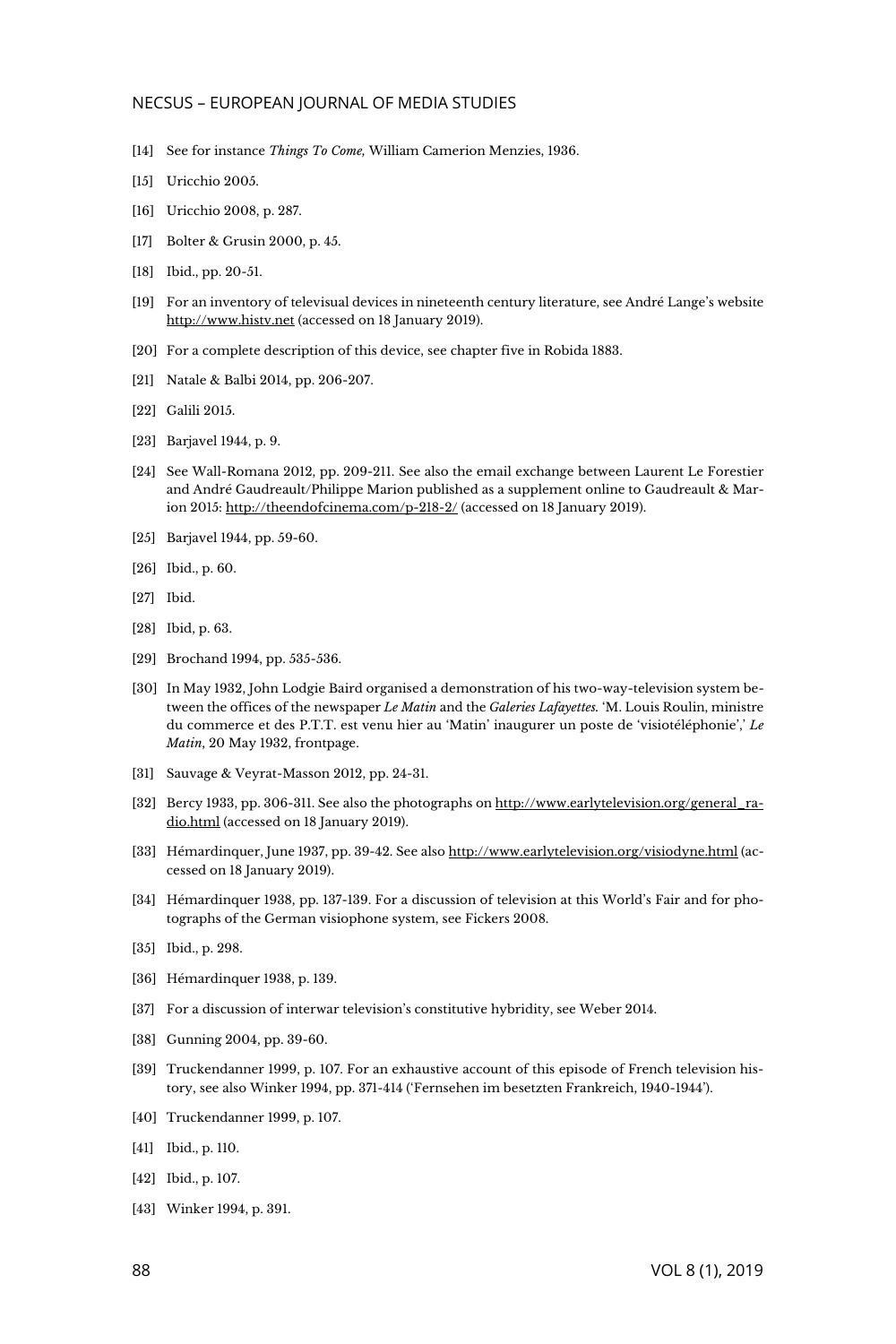#### NECSUS – EUROPEAN JOURNAL OF MEDIA STUDIES

- [14] See for instance *Things To Come,* William Camerion Menzies, 1936.
- [15] Uricchio 2005.
- [16] Uricchio 2008, p. 287.
- [17] Bolter & Grusin 2000, p. 45.
- [18] Ibid., pp. 20-51.
- [19] For an inventory of televisual devices in nineteenth century literature, see André Lange's website [http://www.histv.net](http://www.histv.net/) (accessed on 18 January 2019).
- [20] For a complete description of this device, see chapter five in Robida 1883.
- [21] Natale & Balbi 2014, pp. 206-207.
- [22] Galili 2015.
- [23] Bariavel 1944, p. 9.
- [24] See Wall-Romana 2012, pp. 209-211. See also the email exchange between Laurent Le Forestier and André Gaudreault/Philippe Marion published as a supplement online to Gaudreault & Marion 2015[: http://theendofcinema.com/p-218-2/](http://theendofcinema.com/p-218-2/) (accessed on 18 January 2019).
- [25] Barjavel 1944, pp. 59-60.
- [26] Ibid., p. 60.
- [27] Ibid.
- [28] Ibid, p. 63.
- [29] Brochand 1994, pp. 535-536.
- [30] In May 1932, John Lodgie Baird organised a demonstration of his two-way-television system between the offices of the newspaper *Le Matin* and the *Galeries Lafayettes.* 'M. Louis Roulin, ministre du commerce et des P.T.T. est venu hier au 'Matin' inaugurer un poste de 'visiotéléphonie',' *Le Matin*, 20 May 1932, frontpage.
- [31] Sauvage & Veyrat-Masson 2012, pp. 24-31.
- [32] Bercy 1933, pp. 306-311. See also the photographs o[n http://www.earlytelevision.org/general\\_ra](http://www.earlytelevision.org/general_radio.html)[dio.html](http://www.earlytelevision.org/general_radio.html) (accessed on 18 January 2019).
- [33] Hémardinquer, June 1937, pp. 39-42. See als[o http://www.earlytelevision.org/visiodyne.html](http://www.earlytelevision.org/visiodyne.html) (accessed on 18 January 2019).
- [34] Hémardinquer 1938, pp. 137-139. For a discussion of television at this World's Fair and for photographs of the German visiophone system, see Fickers 2008.
- [35] Ibid., p. 298.
- [36] Hémardinquer 1938, p. 139.
- [37] For a discussion of interwar television's constitutive hybridity, see Weber 2014.
- [38] Gunning 2004, pp. 39-60.
- [39] Truckendanner 1999, p. 107. For an exhaustive account of this episode of French television history, see also Winker 1994, pp. 371-414 ('Fernsehen im besetzten Frankreich, 1940-1944').
- [40] Truckendanner 1999, p. 107.
- [41] Ibid., p. 110.
- [42] Ibid., p. 107.
- [43] Winker 1994, p. 391.